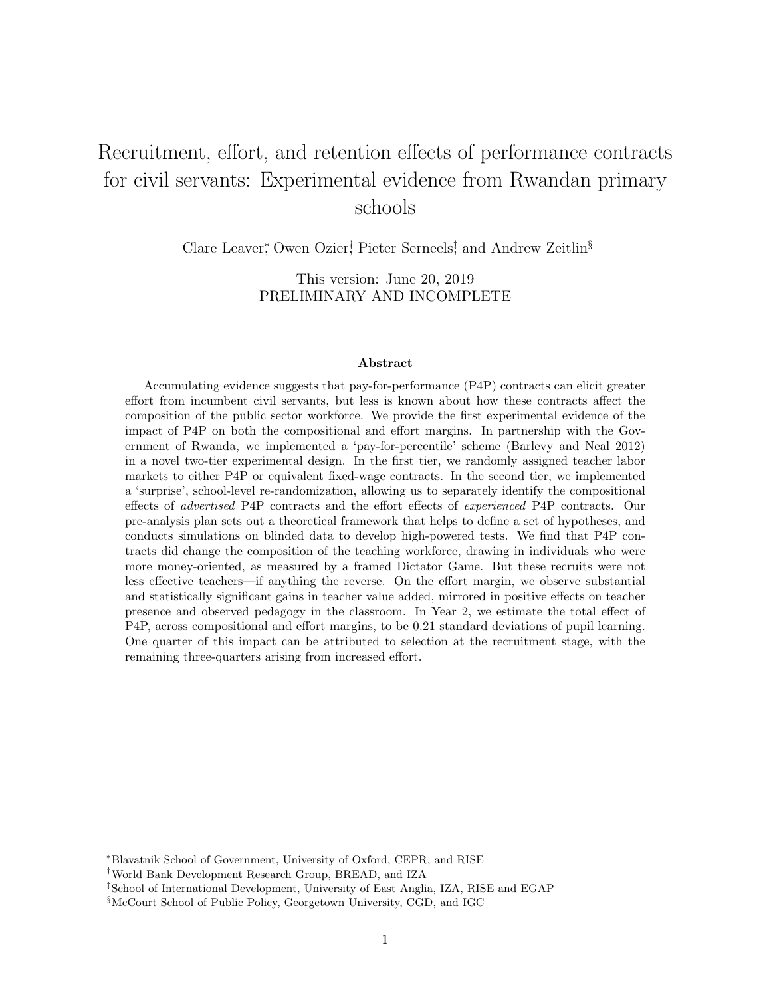# Recruitment, effort, and retention effects of performance contracts for civil servants: Experimental evidence from Rwandan primary schools

Clare Leaver<sup>\*</sup>, Owen Ozier<sup>†</sup>, Pieter Serneels<sup>‡</sup>, and Andrew Zeitlin<sup>§</sup>

This version: June 20, 2019 PRELIMINARY AND INCOMPLETE

#### Abstract

Accumulating evidence suggests that pay-for-performance (P4P) contracts can elicit greater effort from incumbent civil servants, but less is known about how these contracts affect the composition of the public sector workforce. We provide the first experimental evidence of the impact of P4P on both the compositional and effort margins. In partnership with the Government of Rwanda, we implemented a 'pay-for-percentile' scheme (Barlevy and Neal 2012) in a novel two-tier experimental design. In the first tier, we randomly assigned teacher labor markets to either P4P or equivalent fixed-wage contracts. In the second tier, we implemented a 'surprise', school-level re-randomization, allowing us to separately identify the compositional effects of advertised P4P contracts and the effort effects of experienced P4P contracts. Our pre-analysis plan sets out a theoretical framework that helps to define a set of hypotheses, and conducts simulations on blinded data to develop high-powered tests. We find that P4P contracts did change the composition of the teaching workforce, drawing in individuals who were more money-oriented, as measured by a framed Dictator Game. But these recruits were not less effective teachers—if anything the reverse. On the effort margin, we observe substantial and statistically significant gains in teacher value added, mirrored in positive effects on teacher presence and observed pedagogy in the classroom. In Year 2, we estimate the total effect of P4P, across compositional and effort margins, to be 0.21 standard deviations of pupil learning. One quarter of this impact can be attributed to selection at the recruitment stage, with the remaining three-quarters arising from increased effort.

<sup>∗</sup>Blavatnik School of Government, University of Oxford, CEPR, and RISE

<sup>†</sup>World Bank Development Research Group, BREAD, and IZA

<sup>‡</sup>School of International Development, University of East Anglia, IZA, RISE and EGAP

<sup>§</sup>McCourt School of Public Policy, Georgetown University, CGD, and IGC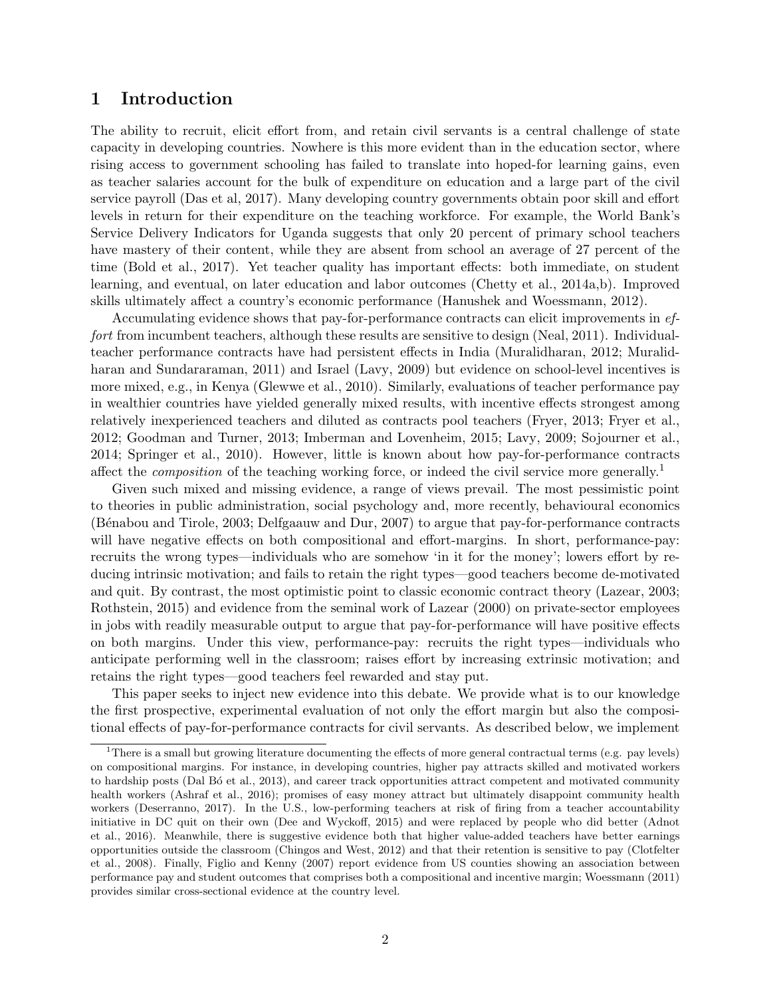## 1 Introduction

The ability to recruit, elicit effort from, and retain civil servants is a central challenge of state capacity in developing countries. Nowhere is this more evident than in the education sector, where rising access to government schooling has failed to translate into hoped-for learning gains, even as teacher salaries account for the bulk of expenditure on education and a large part of the civil service payroll (Das et al, 2017). Many developing country governments obtain poor skill and effort levels in return for their expenditure on the teaching workforce. For example, the World Bank's Service Delivery Indicators for Uganda suggests that only 20 percent of primary school teachers have mastery of their content, while they are absent from school an average of 27 percent of the time (Bold et al., 2017). Yet teacher quality has important effects: both immediate, on student learning, and eventual, on later education and labor outcomes (Chetty et al., 2014a,b). Improved skills ultimately affect a country's economic performance (Hanushek and Woessmann, 2012).

Accumulating evidence shows that pay-for-performance contracts can elicit improvements in effort from incumbent teachers, although these results are sensitive to design (Neal, 2011). Individualteacher performance contracts have had persistent effects in India (Muralidharan, 2012; Muralidharan and Sundararaman, 2011) and Israel (Lavy, 2009) but evidence on school-level incentives is more mixed, e.g., in Kenya (Glewwe et al., 2010). Similarly, evaluations of teacher performance pay in wealthier countries have yielded generally mixed results, with incentive effects strongest among relatively inexperienced teachers and diluted as contracts pool teachers (Fryer, 2013; Fryer et al., 2012; Goodman and Turner, 2013; Imberman and Lovenheim, 2015; Lavy, 2009; Sojourner et al., 2014; Springer et al., 2010). However, little is known about how pay-for-performance contracts affect the *composition* of the teaching working force, or indeed the civil service more generally.<sup>1</sup>

Given such mixed and missing evidence, a range of views prevail. The most pessimistic point to theories in public administration, social psychology and, more recently, behavioural economics (B´enabou and Tirole, 2003; Delfgaauw and Dur, 2007) to argue that pay-for-performance contracts will have negative effects on both compositional and effort-margins. In short, performance-pay: recruits the wrong types—individuals who are somehow 'in it for the money'; lowers effort by reducing intrinsic motivation; and fails to retain the right types—good teachers become de-motivated and quit. By contrast, the most optimistic point to classic economic contract theory (Lazear, 2003; Rothstein, 2015) and evidence from the seminal work of Lazear (2000) on private-sector employees in jobs with readily measurable output to argue that pay-for-performance will have positive effects on both margins. Under this view, performance-pay: recruits the right types—individuals who anticipate performing well in the classroom; raises effort by increasing extrinsic motivation; and retains the right types—good teachers feel rewarded and stay put.

This paper seeks to inject new evidence into this debate. We provide what is to our knowledge the first prospective, experimental evaluation of not only the effort margin but also the compositional effects of pay-for-performance contracts for civil servants. As described below, we implement

<sup>&</sup>lt;sup>1</sup>There is a small but growing literature documenting the effects of more general contractual terms (e.g. pay levels) on compositional margins. For instance, in developing countries, higher pay attracts skilled and motivated workers to hardship posts (Dal B<sub>Ó</sub> et al., 2013), and career track opportunities attract competent and motivated community health workers (Ashraf et al., 2016); promises of easy money attract but ultimately disappoint community health workers (Deserranno, 2017). In the U.S., low-performing teachers at risk of firing from a teacher accountability initiative in DC quit on their own (Dee and Wyckoff, 2015) and were replaced by people who did better (Adnot et al., 2016). Meanwhile, there is suggestive evidence both that higher value-added teachers have better earnings opportunities outside the classroom (Chingos and West, 2012) and that their retention is sensitive to pay (Clotfelter et al., 2008). Finally, Figlio and Kenny (2007) report evidence from US counties showing an association between performance pay and student outcomes that comprises both a compositional and incentive margin; Woessmann (2011) provides similar cross-sectional evidence at the country level.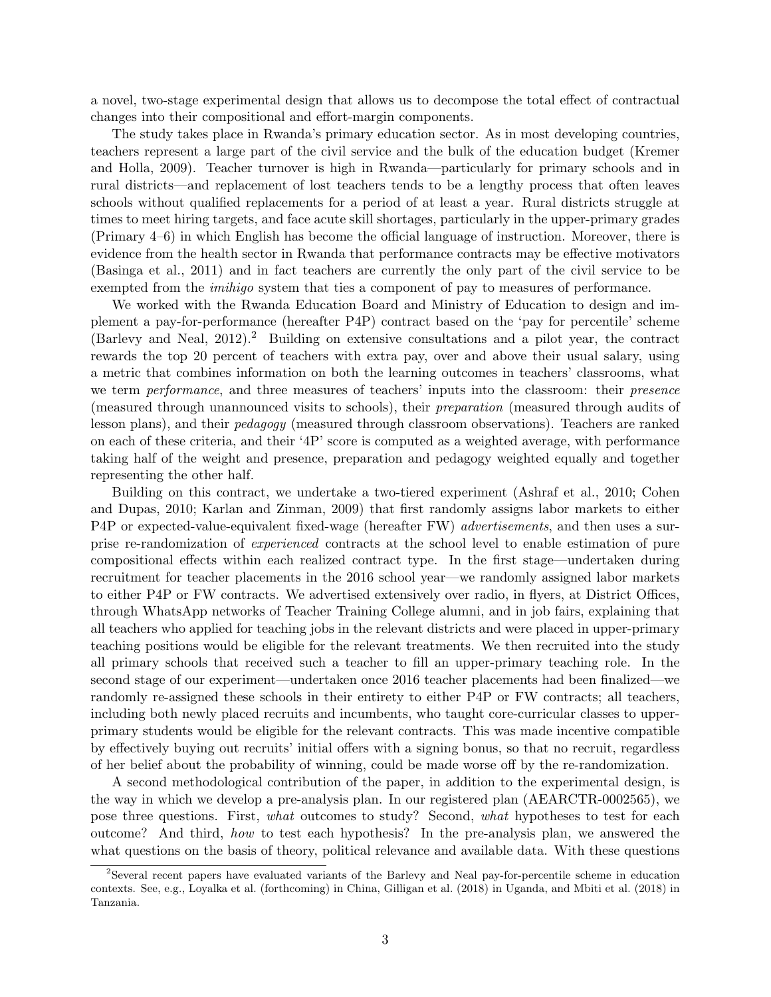a novel, two-stage experimental design that allows us to decompose the total effect of contractual changes into their compositional and effort-margin components.

The study takes place in Rwanda's primary education sector. As in most developing countries, teachers represent a large part of the civil service and the bulk of the education budget (Kremer and Holla, 2009). Teacher turnover is high in Rwanda—particularly for primary schools and in rural districts—and replacement of lost teachers tends to be a lengthy process that often leaves schools without qualified replacements for a period of at least a year. Rural districts struggle at times to meet hiring targets, and face acute skill shortages, particularly in the upper-primary grades (Primary 4–6) in which English has become the official language of instruction. Moreover, there is evidence from the health sector in Rwanda that performance contracts may be effective motivators (Basinga et al., 2011) and in fact teachers are currently the only part of the civil service to be exempted from the *imihigo* system that ties a component of pay to measures of performance.

We worked with the Rwanda Education Board and Ministry of Education to design and implement a pay-for-performance (hereafter P4P) contract based on the 'pay for percentile' scheme (Barlevy and Neal, 2012).<sup>2</sup> Building on extensive consultations and a pilot year, the contract rewards the top 20 percent of teachers with extra pay, over and above their usual salary, using a metric that combines information on both the learning outcomes in teachers' classrooms, what we term *performance*, and three measures of teachers' inputs into the classroom: their *presence* (measured through unannounced visits to schools), their preparation (measured through audits of lesson plans), and their pedagogy (measured through classroom observations). Teachers are ranked on each of these criteria, and their '4P' score is computed as a weighted average, with performance taking half of the weight and presence, preparation and pedagogy weighted equally and together representing the other half.

Building on this contract, we undertake a two-tiered experiment (Ashraf et al., 2010; Cohen and Dupas, 2010; Karlan and Zinman, 2009) that first randomly assigns labor markets to either P4P or expected-value-equivalent fixed-wage (hereafter FW) advertisements, and then uses a surprise re-randomization of experienced contracts at the school level to enable estimation of pure compositional effects within each realized contract type. In the first stage—undertaken during recruitment for teacher placements in the 2016 school year—we randomly assigned labor markets to either P4P or FW contracts. We advertised extensively over radio, in flyers, at District Offices, through WhatsApp networks of Teacher Training College alumni, and in job fairs, explaining that all teachers who applied for teaching jobs in the relevant districts and were placed in upper-primary teaching positions would be eligible for the relevant treatments. We then recruited into the study all primary schools that received such a teacher to fill an upper-primary teaching role. In the second stage of our experiment—undertaken once 2016 teacher placements had been finalized—we randomly re-assigned these schools in their entirety to either P4P or FW contracts; all teachers, including both newly placed recruits and incumbents, who taught core-curricular classes to upperprimary students would be eligible for the relevant contracts. This was made incentive compatible by effectively buying out recruits' initial offers with a signing bonus, so that no recruit, regardless of her belief about the probability of winning, could be made worse off by the re-randomization.

A second methodological contribution of the paper, in addition to the experimental design, is the way in which we develop a pre-analysis plan. In our registered plan (AEARCTR-0002565), we pose three questions. First, what outcomes to study? Second, what hypotheses to test for each outcome? And third, how to test each hypothesis? In the pre-analysis plan, we answered the what questions on the basis of theory, political relevance and available data. With these questions

<sup>2</sup>Several recent papers have evaluated variants of the Barlevy and Neal pay-for-percentile scheme in education contexts. See, e.g., Loyalka et al. (forthcoming) in China, Gilligan et al. (2018) in Uganda, and Mbiti et al. (2018) in Tanzania.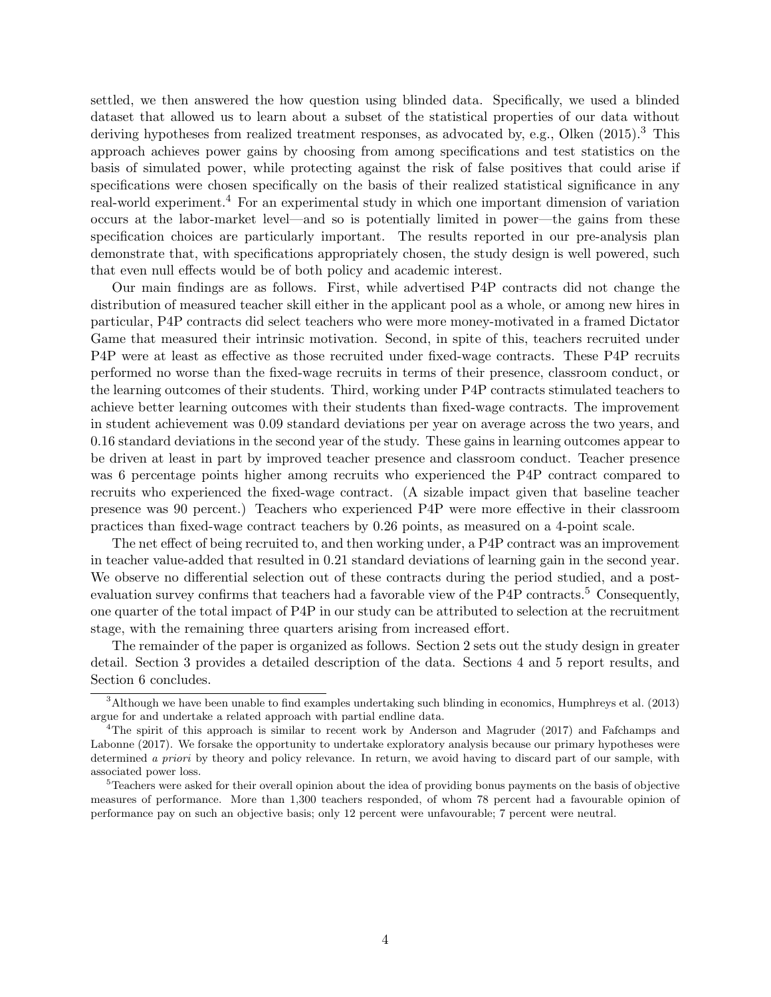settled, we then answered the how question using blinded data. Specifically, we used a blinded dataset that allowed us to learn about a subset of the statistical properties of our data without deriving hypotheses from realized treatment responses, as advocated by, e.g., Olken (2015).<sup>3</sup> This approach achieves power gains by choosing from among specifications and test statistics on the basis of simulated power, while protecting against the risk of false positives that could arise if specifications were chosen specifically on the basis of their realized statistical significance in any real-world experiment.<sup>4</sup> For an experimental study in which one important dimension of variation occurs at the labor-market level—and so is potentially limited in power—the gains from these specification choices are particularly important. The results reported in our pre-analysis plan demonstrate that, with specifications appropriately chosen, the study design is well powered, such that even null effects would be of both policy and academic interest.

Our main findings are as follows. First, while advertised P4P contracts did not change the distribution of measured teacher skill either in the applicant pool as a whole, or among new hires in particular, P4P contracts did select teachers who were more money-motivated in a framed Dictator Game that measured their intrinsic motivation. Second, in spite of this, teachers recruited under P4P were at least as effective as those recruited under fixed-wage contracts. These P4P recruits performed no worse than the fixed-wage recruits in terms of their presence, classroom conduct, or the learning outcomes of their students. Third, working under P4P contracts stimulated teachers to achieve better learning outcomes with their students than fixed-wage contracts. The improvement in student achievement was 0.09 standard deviations per year on average across the two years, and 0.16 standard deviations in the second year of the study. These gains in learning outcomes appear to be driven at least in part by improved teacher presence and classroom conduct. Teacher presence was 6 percentage points higher among recruits who experienced the P4P contract compared to recruits who experienced the fixed-wage contract. (A sizable impact given that baseline teacher presence was 90 percent.) Teachers who experienced P4P were more effective in their classroom practices than fixed-wage contract teachers by 0.26 points, as measured on a 4-point scale.

The net effect of being recruited to, and then working under, a P4P contract was an improvement in teacher value-added that resulted in 0.21 standard deviations of learning gain in the second year. We observe no differential selection out of these contracts during the period studied, and a postevaluation survey confirms that teachers had a favorable view of the P4P contracts.<sup>5</sup> Consequently, one quarter of the total impact of P4P in our study can be attributed to selection at the recruitment stage, with the remaining three quarters arising from increased effort.

The remainder of the paper is organized as follows. Section 2 sets out the study design in greater detail. Section 3 provides a detailed description of the data. Sections 4 and 5 report results, and Section 6 concludes.

<sup>3</sup>Although we have been unable to find examples undertaking such blinding in economics, Humphreys et al. (2013) argue for and undertake a related approach with partial endline data.

<sup>4</sup>The spirit of this approach is similar to recent work by Anderson and Magruder (2017) and Fafchamps and Labonne (2017). We forsake the opportunity to undertake exploratory analysis because our primary hypotheses were determined a priori by theory and policy relevance. In return, we avoid having to discard part of our sample, with associated power loss.

<sup>5</sup>Teachers were asked for their overall opinion about the idea of providing bonus payments on the basis of objective measures of performance. More than 1,300 teachers responded, of whom 78 percent had a favourable opinion of performance pay on such an objective basis; only 12 percent were unfavourable; 7 percent were neutral.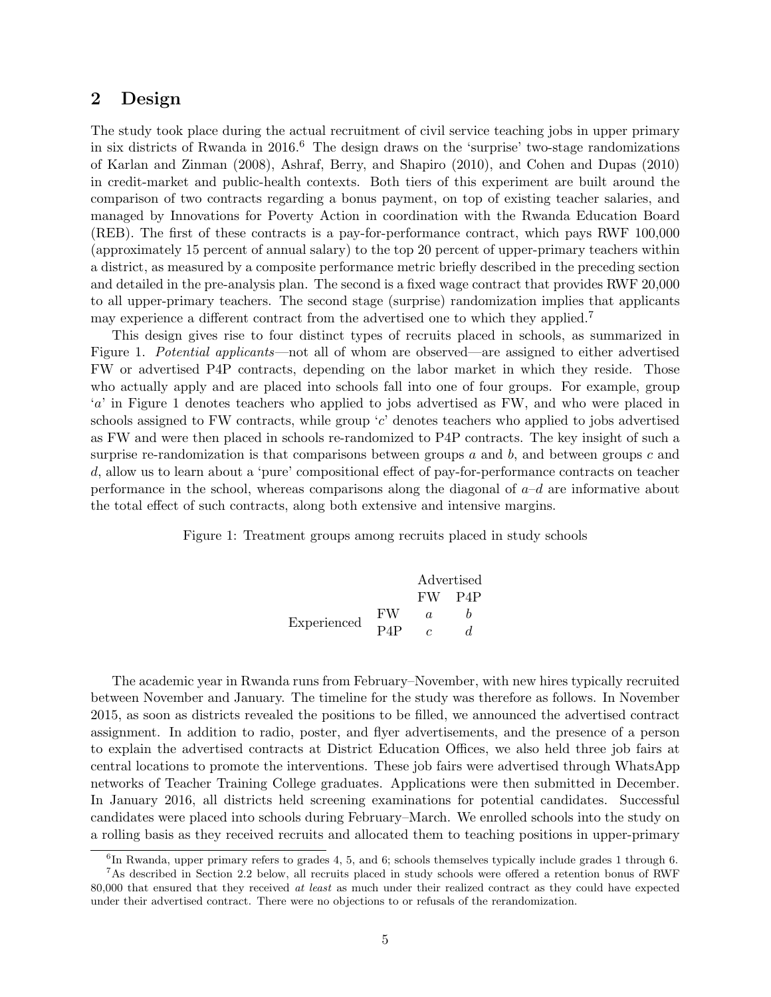## 2 Design

The study took place during the actual recruitment of civil service teaching jobs in upper primary in six districts of Rwanda in  $2016<sup>6</sup>$ . The design draws on the 'surprise' two-stage randomizations of Karlan and Zinman (2008), Ashraf, Berry, and Shapiro (2010), and Cohen and Dupas (2010) in credit-market and public-health contexts. Both tiers of this experiment are built around the comparison of two contracts regarding a bonus payment, on top of existing teacher salaries, and managed by Innovations for Poverty Action in coordination with the Rwanda Education Board (REB). The first of these contracts is a pay-for-performance contract, which pays RWF 100,000 (approximately 15 percent of annual salary) to the top 20 percent of upper-primary teachers within a district, as measured by a composite performance metric briefly described in the preceding section and detailed in the pre-analysis plan. The second is a fixed wage contract that provides RWF 20,000 to all upper-primary teachers. The second stage (surprise) randomization implies that applicants may experience a different contract from the advertised one to which they applied.<sup>7</sup>

This design gives rise to four distinct types of recruits placed in schools, as summarized in Figure 1. Potential applicants—not all of whom are observed—are assigned to either advertised FW or advertised P4P contracts, depending on the labor market in which they reside. Those who actually apply and are placed into schools fall into one of four groups. For example, group 'a' in Figure 1 denotes teachers who applied to jobs advertised as FW, and who were placed in schools assigned to FW contracts, while group 'c' denotes teachers who applied to jobs advertised as FW and were then placed in schools re-randomized to P4P contracts. The key insight of such a surprise re-randomization is that comparisons between groups  $a$  and  $b$ , and between groups  $c$  and d, allow us to learn about a 'pure' compositional effect of pay-for-performance contracts on teacher performance in the school, whereas comparisons along the diagonal of  $a-d$  are informative about the total effect of such contracts, along both extensive and intensive margins.

Figure 1: Treatment groups among recruits placed in study schools

Advertised FW P4P Experienced FW a b P4P c d

The academic year in Rwanda runs from February–November, with new hires typically recruited between November and January. The timeline for the study was therefore as follows. In November 2015, as soon as districts revealed the positions to be filled, we announced the advertised contract assignment. In addition to radio, poster, and flyer advertisements, and the presence of a person to explain the advertised contracts at District Education Offices, we also held three job fairs at central locations to promote the interventions. These job fairs were advertised through WhatsApp networks of Teacher Training College graduates. Applications were then submitted in December. In January 2016, all districts held screening examinations for potential candidates. Successful candidates were placed into schools during February–March. We enrolled schools into the study on a rolling basis as they received recruits and allocated them to teaching positions in upper-primary

<sup>&</sup>lt;sup>6</sup>In Rwanda, upper primary refers to grades 4, 5, and 6; schools themselves typically include grades 1 through 6.

<sup>7</sup>As described in Section 2.2 below, all recruits placed in study schools were offered a retention bonus of RWF 80,000 that ensured that they received at least as much under their realized contract as they could have expected under their advertised contract. There were no objections to or refusals of the rerandomization.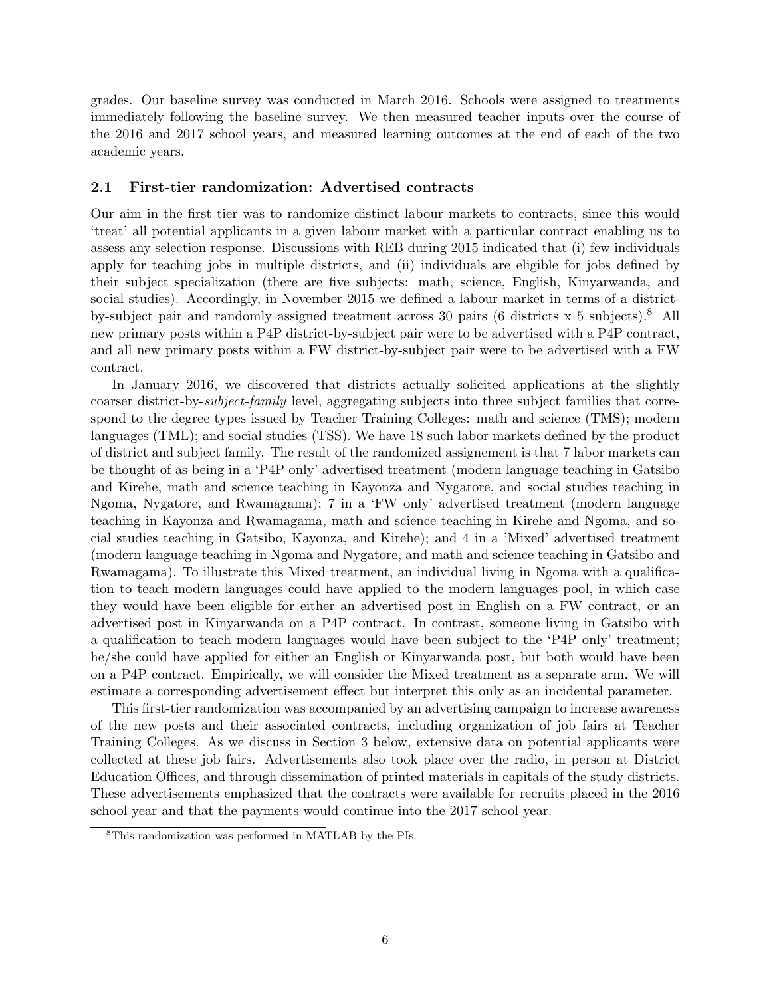grades. Our baseline survey was conducted in March 2016. Schools were assigned to treatments immediately following the baseline survey. We then measured teacher inputs over the course of the 2016 and 2017 school years, and measured learning outcomes at the end of each of the two academic years.

### 2.1 First-tier randomization: Advertised contracts

Our aim in the first tier was to randomize distinct labour markets to contracts, since this would 'treat' all potential applicants in a given labour market with a particular contract enabling us to assess any selection response. Discussions with REB during 2015 indicated that (i) few individuals apply for teaching jobs in multiple districts, and (ii) individuals are eligible for jobs defined by their subject specialization (there are five subjects: math, science, English, Kinyarwanda, and social studies). Accordingly, in November 2015 we defined a labour market in terms of a districtby-subject pair and randomly assigned treatment across 30 pairs (6 districts  $x$  5 subjects).<sup>8</sup> All new primary posts within a P4P district-by-subject pair were to be advertised with a P4P contract, and all new primary posts within a FW district-by-subject pair were to be advertised with a FW contract.

In January 2016, we discovered that districts actually solicited applications at the slightly coarser district-by-subject-family level, aggregating subjects into three subject families that correspond to the degree types issued by Teacher Training Colleges: math and science (TMS); modern languages (TML); and social studies (TSS). We have 18 such labor markets defined by the product of district and subject family. The result of the randomized assignement is that 7 labor markets can be thought of as being in a 'P4P only' advertised treatment (modern language teaching in Gatsibo and Kirehe, math and science teaching in Kayonza and Nygatore, and social studies teaching in Ngoma, Nygatore, and Rwamagama); 7 in a 'FW only' advertised treatment (modern language teaching in Kayonza and Rwamagama, math and science teaching in Kirehe and Ngoma, and social studies teaching in Gatsibo, Kayonza, and Kirehe); and 4 in a 'Mixed' advertised treatment (modern language teaching in Ngoma and Nygatore, and math and science teaching in Gatsibo and Rwamagama). To illustrate this Mixed treatment, an individual living in Ngoma with a qualification to teach modern languages could have applied to the modern languages pool, in which case they would have been eligible for either an advertised post in English on a FW contract, or an advertised post in Kinyarwanda on a P4P contract. In contrast, someone living in Gatsibo with a qualification to teach modern languages would have been subject to the 'P4P only' treatment; he/she could have applied for either an English or Kinyarwanda post, but both would have been on a P4P contract. Empirically, we will consider the Mixed treatment as a separate arm. We will estimate a corresponding advertisement effect but interpret this only as an incidental parameter.

This first-tier randomization was accompanied by an advertising campaign to increase awareness of the new posts and their associated contracts, including organization of job fairs at Teacher Training Colleges. As we discuss in Section 3 below, extensive data on potential applicants were collected at these job fairs. Advertisements also took place over the radio, in person at District Education Offices, and through dissemination of printed materials in capitals of the study districts. These advertisements emphasized that the contracts were available for recruits placed in the 2016 school year and that the payments would continue into the 2017 school year.

<sup>8</sup>This randomization was performed in MATLAB by the PIs.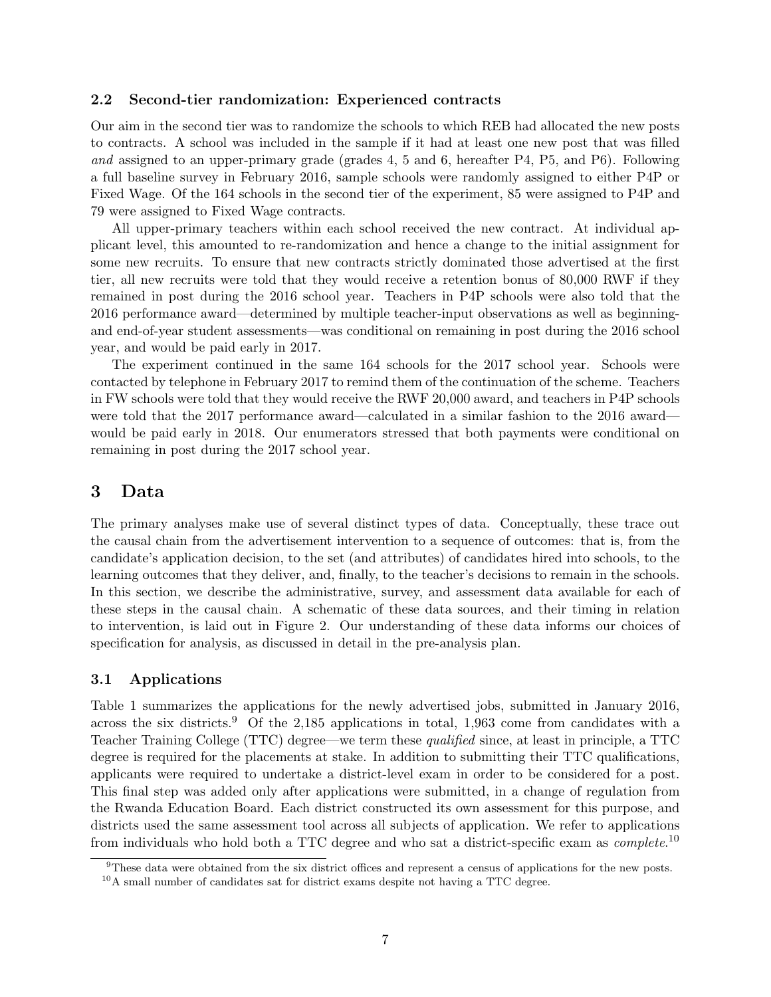### 2.2 Second-tier randomization: Experienced contracts

Our aim in the second tier was to randomize the schools to which REB had allocated the new posts to contracts. A school was included in the sample if it had at least one new post that was filled and assigned to an upper-primary grade (grades 4, 5 and 6, hereafter P4, P5, and P6). Following a full baseline survey in February 2016, sample schools were randomly assigned to either P4P or Fixed Wage. Of the 164 schools in the second tier of the experiment, 85 were assigned to P4P and 79 were assigned to Fixed Wage contracts.

All upper-primary teachers within each school received the new contract. At individual applicant level, this amounted to re-randomization and hence a change to the initial assignment for some new recruits. To ensure that new contracts strictly dominated those advertised at the first tier, all new recruits were told that they would receive a retention bonus of 80,000 RWF if they remained in post during the 2016 school year. Teachers in P4P schools were also told that the 2016 performance award—determined by multiple teacher-input observations as well as beginningand end-of-year student assessments—was conditional on remaining in post during the 2016 school year, and would be paid early in 2017.

The experiment continued in the same 164 schools for the 2017 school year. Schools were contacted by telephone in February 2017 to remind them of the continuation of the scheme. Teachers in FW schools were told that they would receive the RWF 20,000 award, and teachers in P4P schools were told that the 2017 performance award—calculated in a similar fashion to the 2016 award would be paid early in 2018. Our enumerators stressed that both payments were conditional on remaining in post during the 2017 school year.

## 3 Data

The primary analyses make use of several distinct types of data. Conceptually, these trace out the causal chain from the advertisement intervention to a sequence of outcomes: that is, from the candidate's application decision, to the set (and attributes) of candidates hired into schools, to the learning outcomes that they deliver, and, finally, to the teacher's decisions to remain in the schools. In this section, we describe the administrative, survey, and assessment data available for each of these steps in the causal chain. A schematic of these data sources, and their timing in relation to intervention, is laid out in Figure 2. Our understanding of these data informs our choices of specification for analysis, as discussed in detail in the pre-analysis plan.

## 3.1 Applications

Table 1 summarizes the applications for the newly advertised jobs, submitted in January 2016, across the six districts.<sup>9</sup> Of the 2,185 applications in total, 1,963 come from candidates with a Teacher Training College (TTC) degree—we term these qualified since, at least in principle, a TTC degree is required for the placements at stake. In addition to submitting their TTC qualifications, applicants were required to undertake a district-level exam in order to be considered for a post. This final step was added only after applications were submitted, in a change of regulation from the Rwanda Education Board. Each district constructed its own assessment for this purpose, and districts used the same assessment tool across all subjects of application. We refer to applications from individuals who hold both a TTC degree and who sat a district-specific exam as *complete*.<sup>10</sup>

<sup>9</sup>These data were obtained from the six district offices and represent a census of applications for the new posts.

 $10$ A small number of candidates sat for district exams despite not having a TTC degree.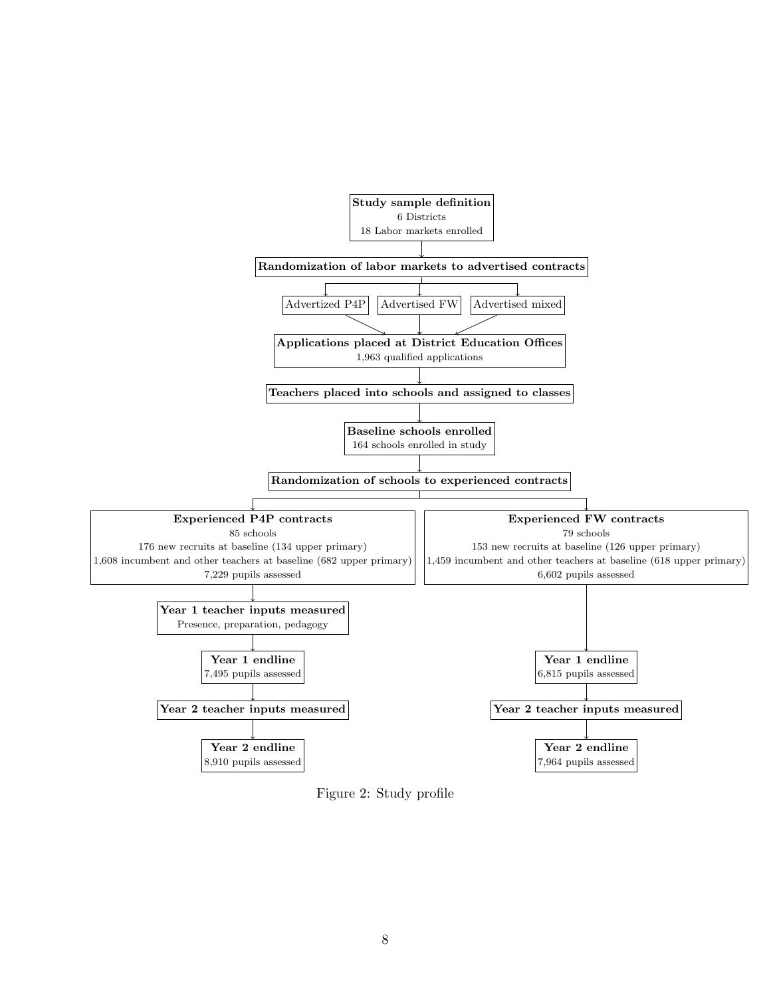

Figure 2: Study profile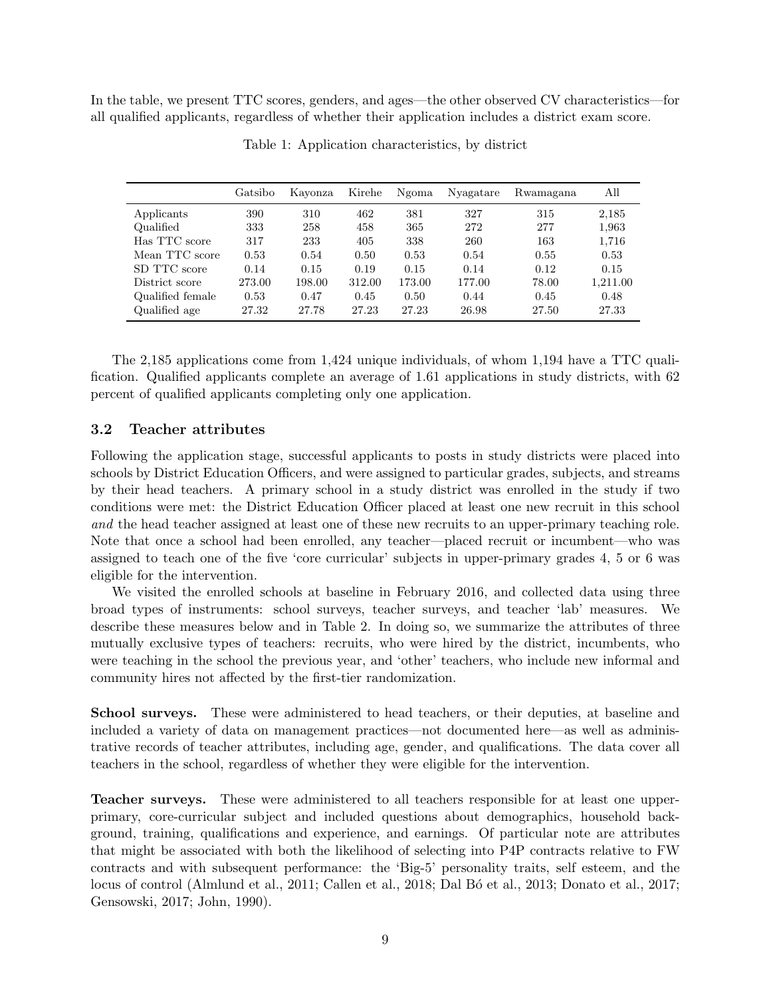In the table, we present TTC scores, genders, and ages—the other observed CV characteristics—for all qualified applicants, regardless of whether their application includes a district exam score.

|                  | Gatsibo | Kayonza | Kirehe | Ngoma  | Nyagatare | Rwamagana | All      |
|------------------|---------|---------|--------|--------|-----------|-----------|----------|
| Applicants       | 390     | 310     | 462    | 381    | 327       | 315       | 2,185    |
| Qualified        | 333     | 258     | 458    | 365    | 272       | 277       | 1,963    |
| Has TTC score    | 317     | 233     | 405    | 338    | 260       | 163       | 1,716    |
| Mean TTC score   | 0.53    | 0.54    | 0.50   | 0.53   | 0.54      | 0.55      | 0.53     |
| SD TTC score     | 0.14    | 0.15    | 0.19   | 0.15   | 0.14      | 0.12      | 0.15     |
| District score   | 273.00  | 198.00  | 312.00 | 173.00 | 177.00    | 78.00     | 1.211.00 |
| Qualified female | 0.53    | 0.47    | 0.45   | 0.50   | 0.44      | 0.45      | 0.48     |
| Qualified age    | 27.32   | 27.78   | 27.23  | 27.23  | 26.98     | 27.50     | 27.33    |

Table 1: Application characteristics, by district

The 2,185 applications come from 1,424 unique individuals, of whom 1,194 have a TTC qualification. Qualified applicants complete an average of 1.61 applications in study districts, with 62 percent of qualified applicants completing only one application.

#### 3.2 Teacher attributes

Following the application stage, successful applicants to posts in study districts were placed into schools by District Education Officers, and were assigned to particular grades, subjects, and streams by their head teachers. A primary school in a study district was enrolled in the study if two conditions were met: the District Education Officer placed at least one new recruit in this school and the head teacher assigned at least one of these new recruits to an upper-primary teaching role. Note that once a school had been enrolled, any teacher—placed recruit or incumbent—who was assigned to teach one of the five 'core curricular' subjects in upper-primary grades 4, 5 or 6 was eligible for the intervention.

We visited the enrolled schools at baseline in February 2016, and collected data using three broad types of instruments: school surveys, teacher surveys, and teacher 'lab' measures. We describe these measures below and in Table 2. In doing so, we summarize the attributes of three mutually exclusive types of teachers: recruits, who were hired by the district, incumbents, who were teaching in the school the previous year, and 'other' teachers, who include new informal and community hires not affected by the first-tier randomization.

School surveys. These were administered to head teachers, or their deputies, at baseline and included a variety of data on management practices—not documented here—as well as administrative records of teacher attributes, including age, gender, and qualifications. The data cover all teachers in the school, regardless of whether they were eligible for the intervention.

Teacher surveys. These were administered to all teachers responsible for at least one upperprimary, core-curricular subject and included questions about demographics, household background, training, qualifications and experience, and earnings. Of particular note are attributes that might be associated with both the likelihood of selecting into P4P contracts relative to FW contracts and with subsequent performance: the 'Big-5' personality traits, self esteem, and the locus of control (Almlund et al., 2011; Callen et al., 2018; Dal Bó et al., 2013; Donato et al., 2017; Gensowski, 2017; John, 1990).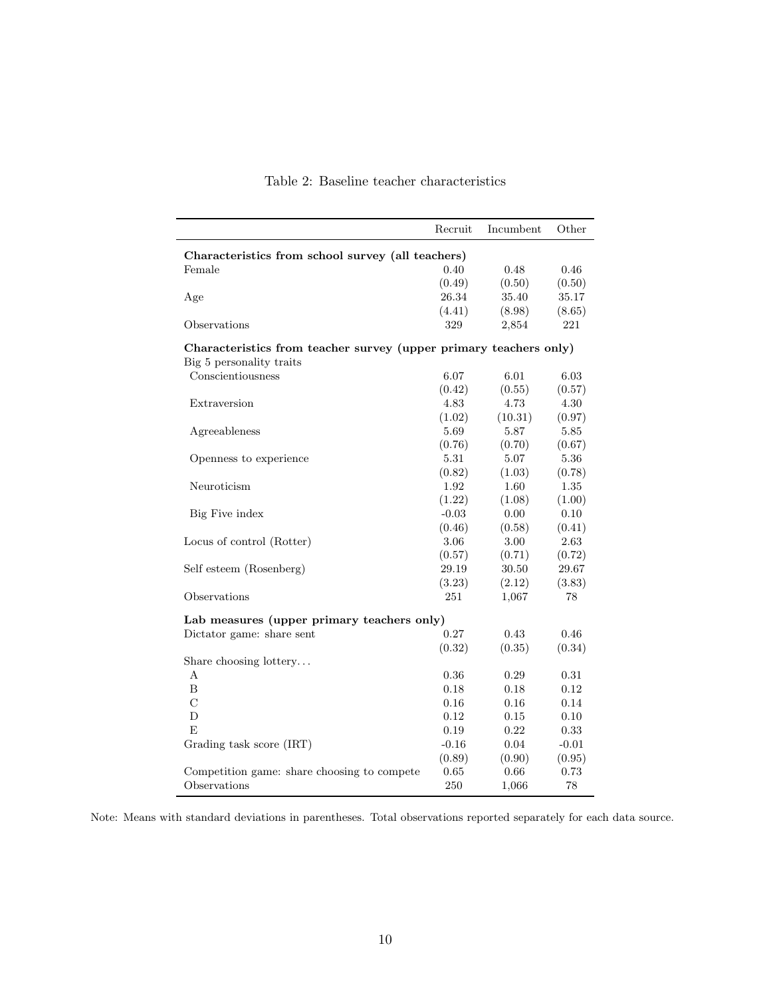|                                                                   | Recruit  | Incumbent | Other   |
|-------------------------------------------------------------------|----------|-----------|---------|
| Characteristics from school survey (all teachers)                 |          |           |         |
| Female                                                            | 0.40     | 0.48      | 0.46    |
|                                                                   | (0.49)   | (0.50)    | (0.50)  |
| Age                                                               | 26.34    | 35.40     | 35.17   |
|                                                                   | (4.41)   | (8.98)    | (8.65)  |
| Observations                                                      | 329      | 2,854     | 221     |
| Characteristics from teacher survey (upper primary teachers only) |          |           |         |
| Big 5 personality traits                                          |          |           |         |
| Conscientiousness                                                 | 6.07     | 6.01      | 6.03    |
|                                                                   | (0.42)   | (0.55)    | (0.57)  |
| Extraversion                                                      | 4.83     | 4.73      | 4.30    |
|                                                                   | (1.02)   | (10.31)   | (0.97)  |
| Agreeableness                                                     | 5.69     | 5.87      | 5.85    |
|                                                                   | (0.76)   | (0.70)    | (0.67)  |
| Openness to experience                                            | 5.31     | 5.07      | 5.36    |
|                                                                   | (0.82)   | (1.03)    | (0.78)  |
| Neuroticism                                                       | 1.92     | 1.60      | 1.35    |
|                                                                   | (1.22)   | (1.08)    | (1.00)  |
| Big Five index                                                    | $-0.03$  | 0.00      | 0.10    |
|                                                                   | (0.46)   | (0.58)    | (0.41)  |
| Locus of control (Rotter)                                         | 3.06     | 3.00      | 2.63    |
|                                                                   | (0.57)   | (0.71)    | (0.72)  |
| Self esteem (Rosenberg)                                           | 29.19    | 30.50     | 29.67   |
|                                                                   | (3.23)   | (2.12)    | (3.83)  |
| Observations                                                      | 251      | 1,067     | 78      |
| Lab measures (upper primary teachers only)                        |          |           |         |
| Dictator game: share sent                                         | 0.27     | 0.43      | 0.46    |
|                                                                   | (0.32)   | (0.35)    | (0.34)  |
| Share choosing lottery                                            |          |           |         |
| A                                                                 | 0.36     | 0.29      | 0.31    |
| B                                                                 | 0.18     | 0.18      | 0.12    |
| $\overline{C}$                                                    | $0.16\,$ | 0.16      | 0.14    |
| D                                                                 | 0.12     | 0.15      | 0.10    |
| F,                                                                | 0.19     | 0.22      | 0.33    |
| Grading task score <i>(IRT)</i>                                   | $-0.16$  | 0.04      | $-0.01$ |
|                                                                   | (0.89)   | (0.90)    | (0.95)  |
| Competition game: share choosing to compete                       | 0.65     | 0.66      | 0.73    |
| Observations                                                      | 250      | 1,066     | 78      |

## Table 2: Baseline teacher characteristics

Note: Means with standard deviations in parentheses. Total observations reported separately for each data source.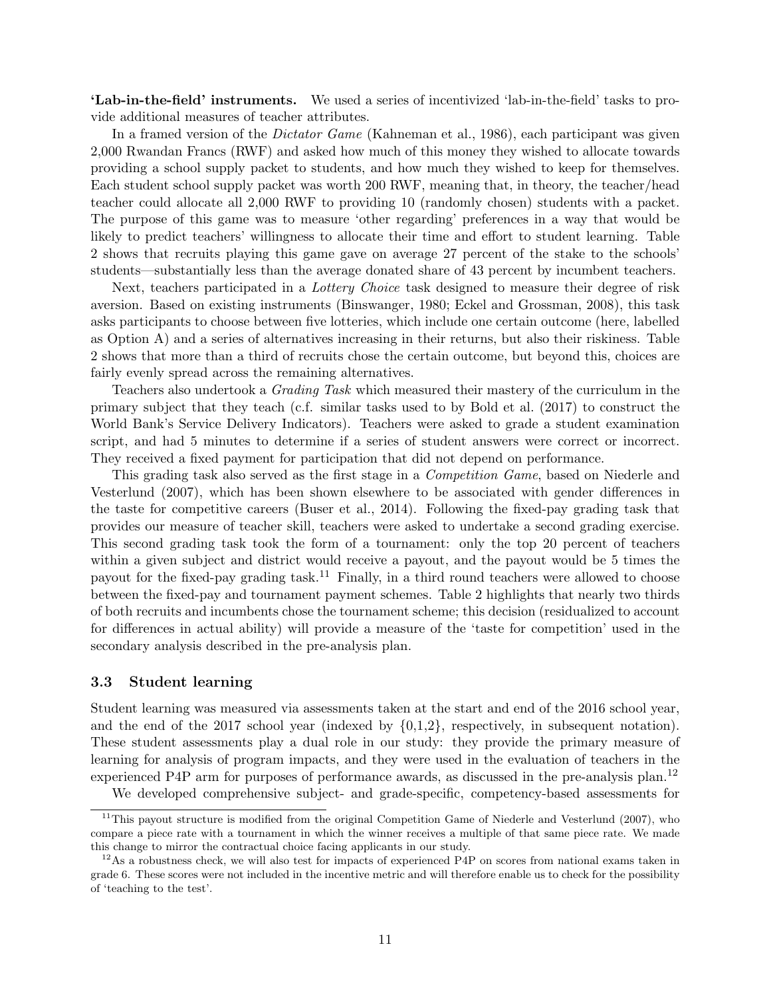'Lab-in-the-field' instruments. We used a series of incentivized 'lab-in-the-field' tasks to provide additional measures of teacher attributes.

In a framed version of the *Dictator Game* (Kahneman et al., 1986), each participant was given 2,000 Rwandan Francs (RWF) and asked how much of this money they wished to allocate towards providing a school supply packet to students, and how much they wished to keep for themselves. Each student school supply packet was worth 200 RWF, meaning that, in theory, the teacher/head teacher could allocate all 2,000 RWF to providing 10 (randomly chosen) students with a packet. The purpose of this game was to measure 'other regarding' preferences in a way that would be likely to predict teachers' willingness to allocate their time and effort to student learning. Table 2 shows that recruits playing this game gave on average 27 percent of the stake to the schools' students—substantially less than the average donated share of 43 percent by incumbent teachers.

Next, teachers participated in a *Lottery Choice* task designed to measure their degree of risk aversion. Based on existing instruments (Binswanger, 1980; Eckel and Grossman, 2008), this task asks participants to choose between five lotteries, which include one certain outcome (here, labelled as Option A) and a series of alternatives increasing in their returns, but also their riskiness. Table 2 shows that more than a third of recruits chose the certain outcome, but beyond this, choices are fairly evenly spread across the remaining alternatives.

Teachers also undertook a Grading Task which measured their mastery of the curriculum in the primary subject that they teach (c.f. similar tasks used to by Bold et al. (2017) to construct the World Bank's Service Delivery Indicators). Teachers were asked to grade a student examination script, and had 5 minutes to determine if a series of student answers were correct or incorrect. They received a fixed payment for participation that did not depend on performance.

This grading task also served as the first stage in a Competition Game, based on Niederle and Vesterlund (2007), which has been shown elsewhere to be associated with gender differences in the taste for competitive careers (Buser et al., 2014). Following the fixed-pay grading task that provides our measure of teacher skill, teachers were asked to undertake a second grading exercise. This second grading task took the form of a tournament: only the top 20 percent of teachers within a given subject and district would receive a payout, and the payout would be 5 times the payout for the fixed-pay grading task.<sup>11</sup> Finally, in a third round teachers were allowed to choose between the fixed-pay and tournament payment schemes. Table 2 highlights that nearly two thirds of both recruits and incumbents chose the tournament scheme; this decision (residualized to account for differences in actual ability) will provide a measure of the 'taste for competition' used in the secondary analysis described in the pre-analysis plan.

#### 3.3 Student learning

Student learning was measured via assessments taken at the start and end of the 2016 school year, and the end of the 2017 school year (indexed by  $\{0,1,2\}$ , respectively, in subsequent notation). These student assessments play a dual role in our study: they provide the primary measure of learning for analysis of program impacts, and they were used in the evaluation of teachers in the experienced P4P arm for purposes of performance awards, as discussed in the pre-analysis plan.<sup>12</sup>

We developed comprehensive subject- and grade-specific, competency-based assessments for

 $11$ This payout structure is modified from the original Competition Game of Niederle and Vesterlund (2007), who compare a piece rate with a tournament in which the winner receives a multiple of that same piece rate. We made this change to mirror the contractual choice facing applicants in our study.

 $12\text{As a robustness check, we will also test for impacts of experienced P4P on scores from national exams taken in }$ grade 6. These scores were not included in the incentive metric and will therefore enable us to check for the possibility of 'teaching to the test'.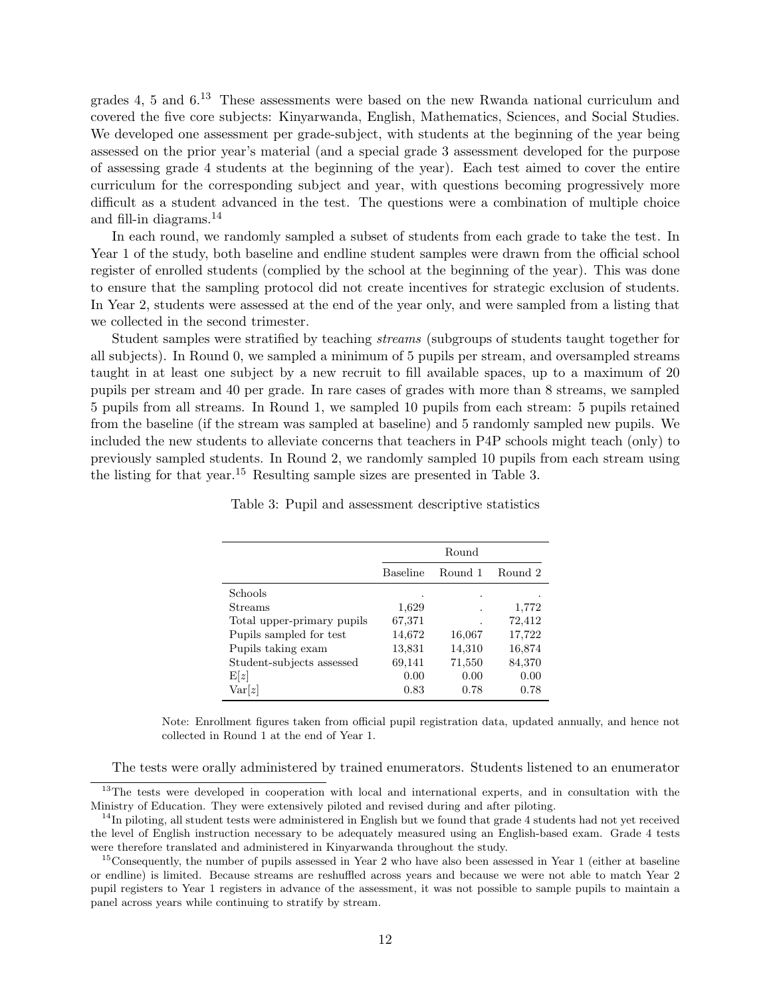grades 4, 5 and 6.<sup>13</sup> These assessments were based on the new Rwanda national curriculum and covered the five core subjects: Kinyarwanda, English, Mathematics, Sciences, and Social Studies. We developed one assessment per grade-subject, with students at the beginning of the year being assessed on the prior year's material (and a special grade 3 assessment developed for the purpose of assessing grade 4 students at the beginning of the year). Each test aimed to cover the entire curriculum for the corresponding subject and year, with questions becoming progressively more difficult as a student advanced in the test. The questions were a combination of multiple choice and fill-in diagrams.<sup>14</sup>

In each round, we randomly sampled a subset of students from each grade to take the test. In Year 1 of the study, both baseline and endline student samples were drawn from the official school register of enrolled students (complied by the school at the beginning of the year). This was done to ensure that the sampling protocol did not create incentives for strategic exclusion of students. In Year 2, students were assessed at the end of the year only, and were sampled from a listing that we collected in the second trimester.

Student samples were stratified by teaching streams (subgroups of students taught together for all subjects). In Round 0, we sampled a minimum of 5 pupils per stream, and oversampled streams taught in at least one subject by a new recruit to fill available spaces, up to a maximum of 20 pupils per stream and 40 per grade. In rare cases of grades with more than 8 streams, we sampled 5 pupils from all streams. In Round 1, we sampled 10 pupils from each stream: 5 pupils retained from the baseline (if the stream was sampled at baseline) and 5 randomly sampled new pupils. We included the new students to alleviate concerns that teachers in P4P schools might teach (only) to previously sampled students. In Round 2, we randomly sampled 10 pupils from each stream using the listing for that year.<sup>15</sup> Resulting sample sizes are presented in Table 3.

|                            |                 | Round   |         |
|----------------------------|-----------------|---------|---------|
|                            | <b>Baseline</b> | Round 1 | Round 2 |
| <b>Schools</b>             |                 | ٠       |         |
| Streams                    | 1,629           |         | 1,772   |
| Total upper-primary pupils | 67,371          | ٠       | 72,412  |
| Pupils sampled for test    | 14,672          | 16,067  | 17,722  |
| Pupils taking exam         | 13,831          | 14,310  | 16,874  |
| Student-subjects assessed  | 69,141          | 71,550  | 84,370  |
| E z                        | 0.00            | 0.00    | 0.00    |
| Var[z]                     | 0.83            | 0.78    | 0.78    |

Table 3: Pupil and assessment descriptive statistics

Note: Enrollment figures taken from official pupil registration data, updated annually, and hence not collected in Round 1 at the end of Year 1.

The tests were orally administered by trained enumerators. Students listened to an enumerator

<sup>&</sup>lt;sup>13</sup>The tests were developed in cooperation with local and international experts, and in consultation with the Ministry of Education. They were extensively piloted and revised during and after piloting.

 $14$ In piloting, all student tests were administered in English but we found that grade 4 students had not yet received the level of English instruction necessary to be adequately measured using an English-based exam. Grade 4 tests were therefore translated and administered in Kinyarwanda throughout the study.

<sup>&</sup>lt;sup>15</sup>Consequently, the number of pupils assessed in Year 2 who have also been assessed in Year 1 (either at baseline or endline) is limited. Because streams are reshuffled across years and because we were not able to match Year 2 pupil registers to Year 1 registers in advance of the assessment, it was not possible to sample pupils to maintain a panel across years while continuing to stratify by stream.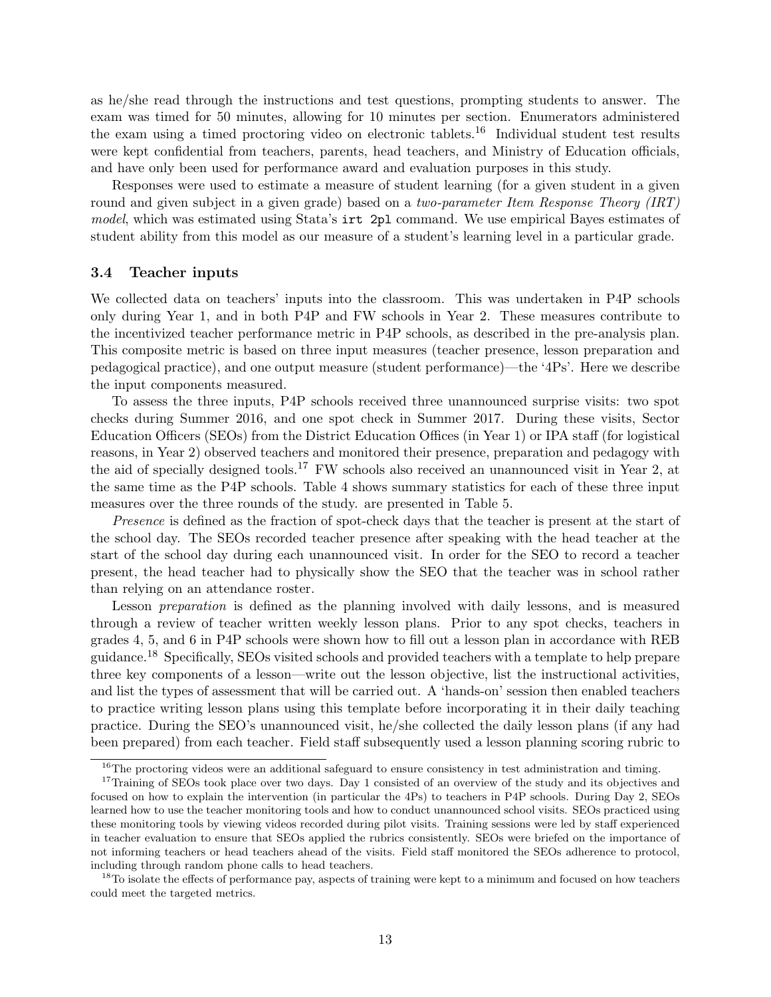as he/she read through the instructions and test questions, prompting students to answer. The exam was timed for 50 minutes, allowing for 10 minutes per section. Enumerators administered the exam using a timed proctoring video on electronic tablets.<sup>16</sup> Individual student test results were kept confidential from teachers, parents, head teachers, and Ministry of Education officials, and have only been used for performance award and evaluation purposes in this study.

Responses were used to estimate a measure of student learning (for a given student in a given round and given subject in a given grade) based on a *two-parameter Item Response Theory (IRT)* model, which was estimated using Stata's irt 2pl command. We use empirical Bayes estimates of student ability from this model as our measure of a student's learning level in a particular grade.

#### 3.4 Teacher inputs

We collected data on teachers' inputs into the classroom. This was undertaken in P4P schools only during Year 1, and in both P4P and FW schools in Year 2. These measures contribute to the incentivized teacher performance metric in P4P schools, as described in the pre-analysis plan. This composite metric is based on three input measures (teacher presence, lesson preparation and pedagogical practice), and one output measure (student performance)—the '4Ps'. Here we describe the input components measured.

To assess the three inputs, P4P schools received three unannounced surprise visits: two spot checks during Summer 2016, and one spot check in Summer 2017. During these visits, Sector Education Officers (SEOs) from the District Education Offices (in Year 1) or IPA staff (for logistical reasons, in Year 2) observed teachers and monitored their presence, preparation and pedagogy with the aid of specially designed tools.<sup>17</sup> FW schools also received an unannounced visit in Year 2, at the same time as the P4P schools. Table 4 shows summary statistics for each of these three input measures over the three rounds of the study. are presented in Table 5.

Presence is defined as the fraction of spot-check days that the teacher is present at the start of the school day. The SEOs recorded teacher presence after speaking with the head teacher at the start of the school day during each unannounced visit. In order for the SEO to record a teacher present, the head teacher had to physically show the SEO that the teacher was in school rather than relying on an attendance roster.

Lesson preparation is defined as the planning involved with daily lessons, and is measured through a review of teacher written weekly lesson plans. Prior to any spot checks, teachers in grades 4, 5, and 6 in P4P schools were shown how to fill out a lesson plan in accordance with REB guidance.<sup>18</sup> Specifically, SEOs visited schools and provided teachers with a template to help prepare three key components of a lesson—write out the lesson objective, list the instructional activities, and list the types of assessment that will be carried out. A 'hands-on' session then enabled teachers to practice writing lesson plans using this template before incorporating it in their daily teaching practice. During the SEO's unannounced visit, he/she collected the daily lesson plans (if any had been prepared) from each teacher. Field staff subsequently used a lesson planning scoring rubric to

 $16$ The proctoring videos were an additional safeguard to ensure consistency in test administration and timing.

<sup>&</sup>lt;sup>17</sup>Training of SEOs took place over two days. Day 1 consisted of an overview of the study and its objectives and focused on how to explain the intervention (in particular the 4Ps) to teachers in P4P schools. During Day 2, SEOs learned how to use the teacher monitoring tools and how to conduct unannounced school visits. SEOs practiced using these monitoring tools by viewing videos recorded during pilot visits. Training sessions were led by staff experienced in teacher evaluation to ensure that SEOs applied the rubrics consistently. SEOs were briefed on the importance of not informing teachers or head teachers ahead of the visits. Field staff monitored the SEOs adherence to protocol, including through random phone calls to head teachers.

<sup>&</sup>lt;sup>18</sup>To isolate the effects of performance pay, aspects of training were kept to a minimum and focused on how teachers could meet the targeted metrics.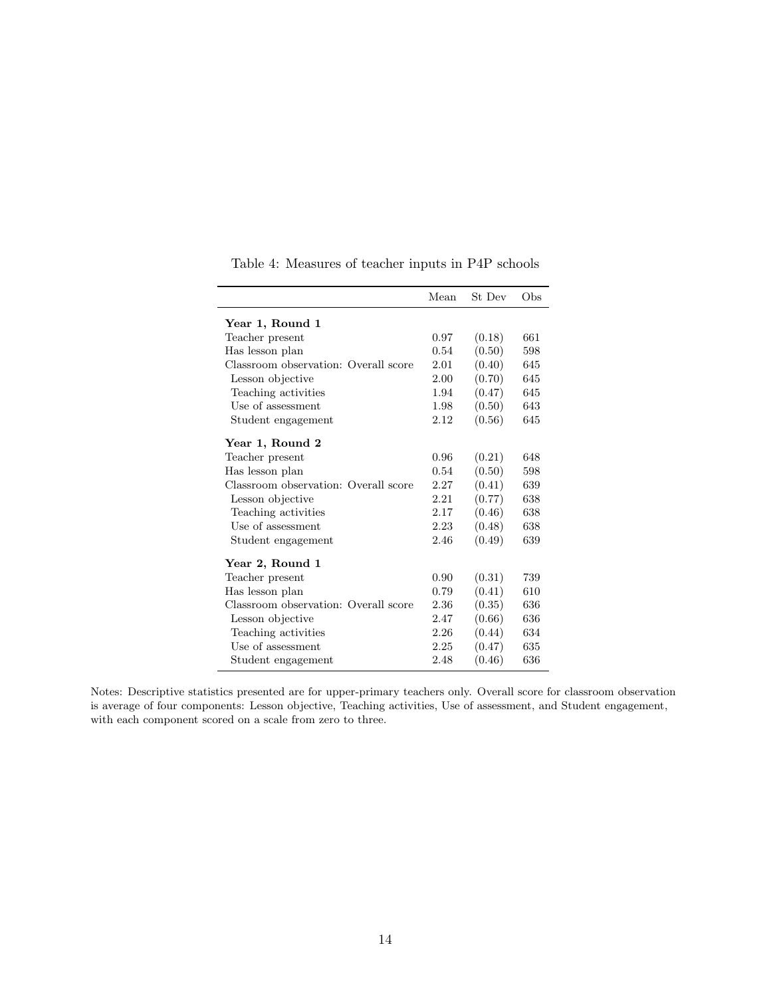|                                      | Mean | St Dev | Obs |
|--------------------------------------|------|--------|-----|
| Year 1, Round 1                      |      |        |     |
| Teacher present                      | 0.97 | (0.18) | 661 |
| Has lesson plan                      | 0.54 | (0.50) | 598 |
| Classroom observation: Overall score | 2.01 | (0.40) | 645 |
| Lesson objective                     | 2.00 | (0.70) | 645 |
| Teaching activities                  | 1.94 | (0.47) | 645 |
| Use of assessment                    | 1.98 | (0.50) | 643 |
| Student engagement                   | 2.12 | (0.56) | 645 |
| Year 1, Round 2                      |      |        |     |
| Teacher present                      | 0.96 | (0.21) | 648 |
| Has lesson plan                      | 0.54 | (0.50) | 598 |
| Classroom observation: Overall score | 2.27 | (0.41) | 639 |
| Lesson objective                     | 2.21 | (0.77) | 638 |
| Teaching activities                  | 2.17 | (0.46) | 638 |
| Use of assessment                    | 2.23 | (0.48) | 638 |
| Student engagement                   | 2.46 | (0.49) | 639 |
| Year 2, Round 1                      |      |        |     |
| Teacher present                      | 0.90 | (0.31) | 739 |
| Has lesson plan                      | 0.79 | (0.41) | 610 |
| Classroom observation: Overall score | 2.36 | (0.35) | 636 |
| Lesson objective                     | 2.47 | (0.66) | 636 |
| Teaching activities                  | 2.26 | (0.44) | 634 |
| Use of assessment                    | 2.25 | (0.47) | 635 |
| Student engagement                   | 2.48 | (0.46) | 636 |

Table 4: Measures of teacher inputs in P4P schools

 $\overline{a}$  $\overline{a}$ 

 $\overline{a}$ 

Notes: Descriptive statistics presented are for upper-primary teachers only. Overall score for classroom observation is average of four components: Lesson objective, Teaching activities, Use of assessment, and Student engagement, with each component scored on a scale from zero to three.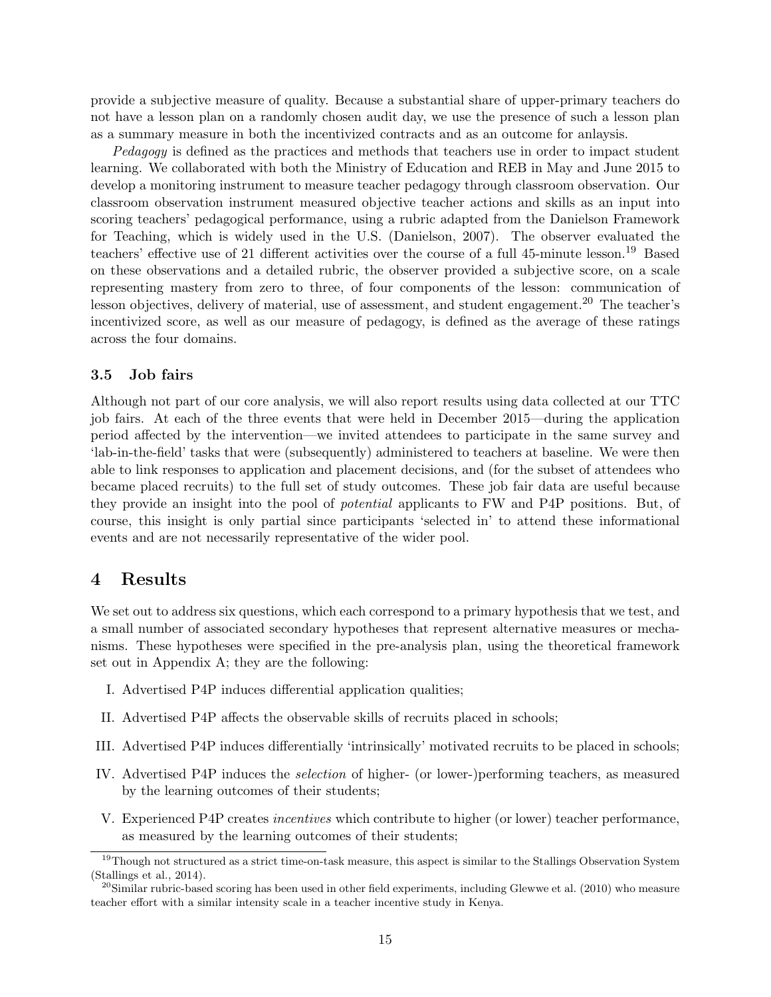provide a subjective measure of quality. Because a substantial share of upper-primary teachers do not have a lesson plan on a randomly chosen audit day, we use the presence of such a lesson plan as a summary measure in both the incentivized contracts and as an outcome for anlaysis.

Pedagogy is defined as the practices and methods that teachers use in order to impact student learning. We collaborated with both the Ministry of Education and REB in May and June 2015 to develop a monitoring instrument to measure teacher pedagogy through classroom observation. Our classroom observation instrument measured objective teacher actions and skills as an input into scoring teachers' pedagogical performance, using a rubric adapted from the Danielson Framework for Teaching, which is widely used in the U.S. (Danielson, 2007). The observer evaluated the teachers' effective use of 21 different activities over the course of a full 45-minute lesson.<sup>19</sup> Based on these observations and a detailed rubric, the observer provided a subjective score, on a scale representing mastery from zero to three, of four components of the lesson: communication of lesson objectives, delivery of material, use of assessment, and student engagement.<sup>20</sup> The teacher's incentivized score, as well as our measure of pedagogy, is defined as the average of these ratings across the four domains.

#### 3.5 Job fairs

Although not part of our core analysis, we will also report results using data collected at our TTC job fairs. At each of the three events that were held in December 2015—during the application period affected by the intervention—we invited attendees to participate in the same survey and 'lab-in-the-field' tasks that were (subsequently) administered to teachers at baseline. We were then able to link responses to application and placement decisions, and (for the subset of attendees who became placed recruits) to the full set of study outcomes. These job fair data are useful because they provide an insight into the pool of potential applicants to FW and P4P positions. But, of course, this insight is only partial since participants 'selected in' to attend these informational events and are not necessarily representative of the wider pool.

## 4 Results

We set out to address six questions, which each correspond to a primary hypothesis that we test, and a small number of associated secondary hypotheses that represent alternative measures or mechanisms. These hypotheses were specified in the pre-analysis plan, using the theoretical framework set out in Appendix A; they are the following:

- I. Advertised P4P induces differential application qualities;
- II. Advertised P4P affects the observable skills of recruits placed in schools;
- III. Advertised P4P induces differentially 'intrinsically' motivated recruits to be placed in schools;
- IV. Advertised P4P induces the selection of higher- (or lower-)performing teachers, as measured by the learning outcomes of their students;
- V. Experienced P4P creates incentives which contribute to higher (or lower) teacher performance, as measured by the learning outcomes of their students;

 $19$ Though not structured as a strict time-on-task measure, this aspect is similar to the Stallings Observation System (Stallings et al., 2014).

<sup>&</sup>lt;sup>20</sup>Similar rubric-based scoring has been used in other field experiments, including Glewwe et al. (2010) who measure teacher effort with a similar intensity scale in a teacher incentive study in Kenya.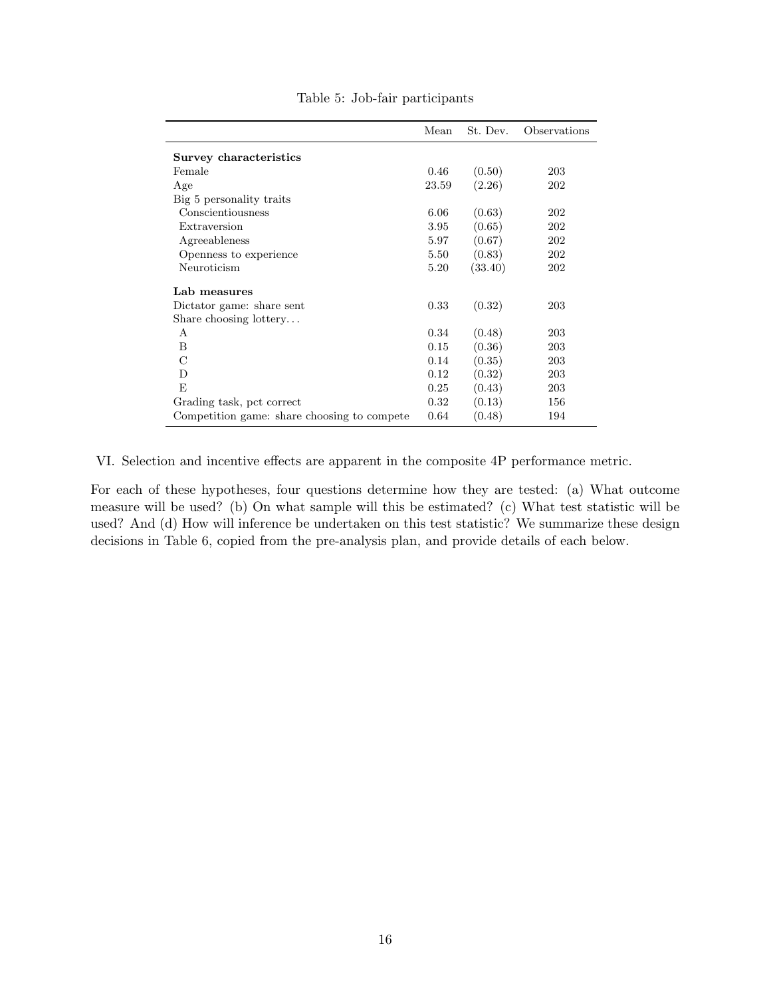|                                             | Mean     | St. Dev. | Observations |
|---------------------------------------------|----------|----------|--------------|
| Survey characteristics                      |          |          |              |
| Female                                      | 0.46     | (0.50)   | 203          |
| Age                                         | 23.59    | (2.26)   | 202          |
| Big 5 personality traits                    |          |          |              |
| Conscientiousness                           | 6.06     | (0.63)   | 202          |
| Extraversion                                | 3.95     | (0.65)   | 202          |
| Agreeableness                               | 5.97     | (0.67)   | 202          |
| Openness to experience                      | 5.50     | (0.83)   | 202          |
| Neuroticism                                 | 5.20     | (33.40)  | 202          |
| Lab measures                                |          |          |              |
| Dictator game: share sent                   | 0.33     | (0.32)   | 203          |
| Share choosing lottery                      |          |          |              |
| A                                           | 0.34     | (0.48)   | 203          |
| B                                           | 0.15     | (0.36)   | 203          |
| C                                           | 0.14     | (0.35)   | 203          |
| D                                           | 0.12     | (0.32)   | 203          |
| F.                                          | 0.25     | (0.43)   | 203          |
| Grading task, pct correct                   | $0.32\,$ | (0.13)   | 156          |
| Competition game: share choosing to compete | 0.64     | (0.48)   | 194          |

#### Table 5: Job-fair participants

VI. Selection and incentive effects are apparent in the composite 4P performance metric.

For each of these hypotheses, four questions determine how they are tested: (a) What outcome measure will be used? (b) On what sample will this be estimated? (c) What test statistic will be used? And (d) How will inference be undertaken on this test statistic? We summarize these design decisions in Table 6, copied from the pre-analysis plan, and provide details of each below.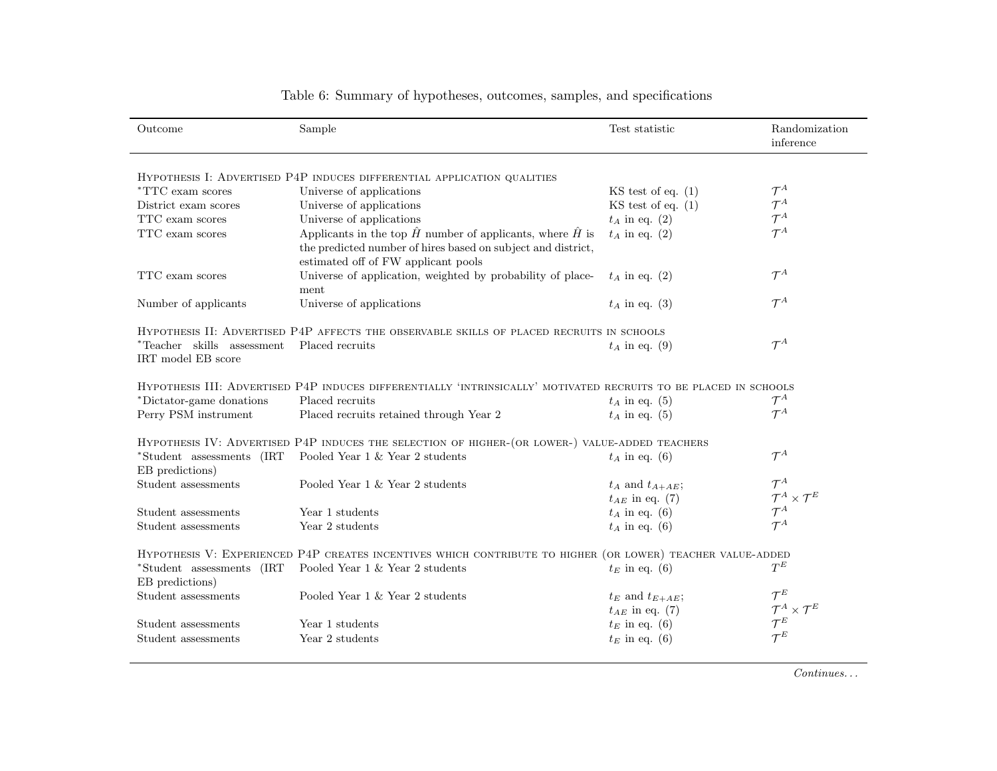| Outcome                                          | Sample                                                                                                                                                                          | Test statistic         | Randomization<br>inference           |
|--------------------------------------------------|---------------------------------------------------------------------------------------------------------------------------------------------------------------------------------|------------------------|--------------------------------------|
|                                                  | HYPOTHESIS I: ADVERTISED P4P INDUCES DIFFERENTIAL APPLICATION QUALITIES                                                                                                         |                        |                                      |
| <i>*TTC</i> exam scores                          | Universe of applications                                                                                                                                                        | $KS$ test of eq. $(1)$ | $\mathcal{T}^A$                      |
| District exam scores                             | Universe of applications                                                                                                                                                        | $KS$ test of eq. $(1)$ | $\mathcal{T}^A$                      |
| TTC exam scores                                  | Universe of applications                                                                                                                                                        | $t_A$ in eq. (2)       | $\mathcal{T}^A$                      |
| TTC exam scores                                  | Applicants in the top $\hat{H}$ number of applicants, where $\hat{H}$ is<br>the predicted number of hires based on subject and district,<br>estimated off of FW applicant pools | $t_A$ in eq. (2)       | $\mathcal{T}^A$                      |
| TTC exam scores                                  | Universe of application, weighted by probability of place-<br>ment                                                                                                              | $t_A$ in eq. (2)       | $\mathcal{T}^A$                      |
| Number of applicants                             | Universe of applications                                                                                                                                                        | $t_A$ in eq. (3)       | $\mathcal{T}^A$                      |
|                                                  | HYPOTHESIS II: ADVERTISED P4P AFFECTS THE OBSERVABLE SKILLS OF PLACED RECRUITS IN SCHOOLS                                                                                       |                        |                                      |
| *Teacher skills assessment<br>IRT model EB score | Placed recruits                                                                                                                                                                 | $t_A$ in eq. (9)       | $\mathcal{T}^A$                      |
|                                                  | HYPOTHESIS III: ADVERTISED P4P INDUCES DIFFERENTIALLY 'INTRINSICALLY' MOTIVATED RECRUITS TO BE PLACED IN SCHOOLS                                                                |                        |                                      |
| *Dictator-game donations                         | Placed recruits                                                                                                                                                                 | $t_A$ in eq. (5)       | $\mathcal{T}^A$                      |
| Perry PSM instrument                             | Placed recruits retained through Year 2                                                                                                                                         | $t_A$ in eq. (5)       | $\mathcal{T}^A$                      |
|                                                  | HYPOTHESIS IV: ADVERTISED P4P INDUCES THE SELECTION OF HIGHER-(OR LOWER-) VALUE-ADDED TEACHERS                                                                                  |                        |                                      |
| *Student assessments (IRT<br>EB predictions)     | Pooled Year 1 & Year 2 students                                                                                                                                                 | $t_A$ in eq. (6)       | $\mathcal{T}^A$                      |
| Student assessments                              | Pooled Year 1 & Year 2 students                                                                                                                                                 | $t_A$ and $t_{A+AE}$ ; | $\mathcal{T}^A$                      |
|                                                  |                                                                                                                                                                                 | $t_{AE}$ in eq. (7)    | $\mathcal{T}^A \times \mathcal{T}^E$ |
| Student assessments                              | Year 1 students                                                                                                                                                                 | $t_A$ in eq. (6)       | $\mathcal{T}^A$                      |
| Student assessments                              | Year 2 students                                                                                                                                                                 | $t_A$ in eq. (6)       | $\mathcal{T}^A$                      |
|                                                  | HYPOTHESIS V: EXPERIENCED P4P CREATES INCENTIVES WHICH CONTRIBUTE TO HIGHER (OR LOWER) TEACHER VALUE-ADDED                                                                      |                        |                                      |
| *Student assessments (IRT<br>EB predictions)     | Pooled Year 1 & Year 2 students                                                                                                                                                 | $t_E$ in eq. (6)       | $T^{E}$                              |
| Student assessments                              | Pooled Year 1 & Year 2 students                                                                                                                                                 | $t_E$ and $t_{E+AE}$ ; | $\mathcal{T}^E$                      |
|                                                  |                                                                                                                                                                                 | $t_{AE}$ in eq. (7)    | $\mathcal{T}^A \times \mathcal{T}^E$ |
| Student assessments                              | Year 1 students                                                                                                                                                                 | $t_E$ in eq. (6)       | $\mathcal{T}^E$                      |
| Student assessments                              | Year 2 students                                                                                                                                                                 | $t_E$ in eq. (6)       | $\tau^{\scriptscriptstyle E}$        |

## Table 6: Summary of hypotheses, outcomes, samples, and specifications

 $Continuous \dots$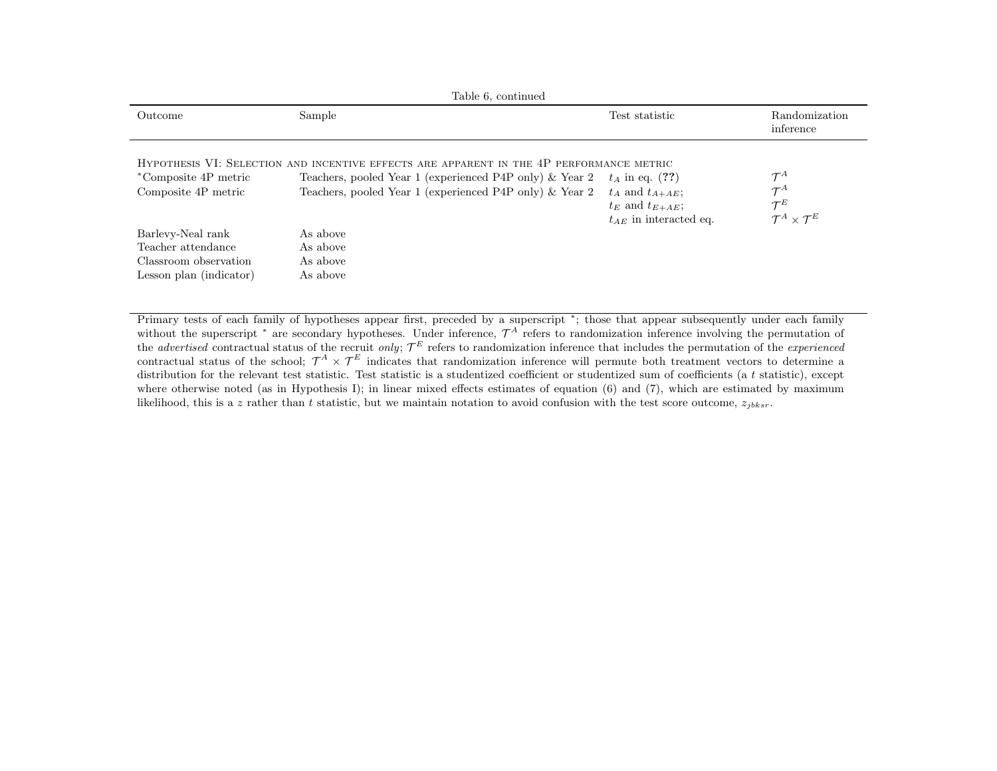|                                                                                             | Table 6, continued                                                                                                                                                                                             |                                                                                                     |                                                                                               |
|---------------------------------------------------------------------------------------------|----------------------------------------------------------------------------------------------------------------------------------------------------------------------------------------------------------------|-----------------------------------------------------------------------------------------------------|-----------------------------------------------------------------------------------------------|
| Outcome                                                                                     | Sample                                                                                                                                                                                                         | Test statistic                                                                                      | Randomization<br>inference                                                                    |
| *Composite 4P metric<br>Composite 4P metric                                                 | HYPOTHESIS VI: SELECTION AND INCENTIVE EFFECTS ARE APPARENT IN THE 4P PERFORMANCE METRIC<br>Teachers, pooled Year 1 (experienced P4P only) & Year 2<br>Teachers, pooled Year 1 (experienced P4P only) & Year 2 | $t_A$ in eq. (??)<br>$t_A$ and $t_{A+AE}$ ;<br>$t_E$ and $t_{E+AE}$ ;<br>$t_{AE}$ in interacted eq. | $\mathcal{T}^A$<br>$\mathcal{T}^A$<br>$\mathcal{T}^E$<br>$\mathcal{T}^A \times \mathcal{T}^E$ |
| Barlevy-Neal rank<br>Teacher attendance<br>Classroom observation<br>Lesson plan (indicator) | As above<br>As above<br>As above<br>As above                                                                                                                                                                   |                                                                                                     |                                                                                               |

Primary tests of each family of hypotheses appear first, preceded by <sup>a</sup> superscript <sup>∗</sup>; those that appear subsequently under each familywithout the superscript  $*$  are secondary hypotheses. Under inference,  $\mathcal{T}^A$  refers to randomization inference involving the permutation of the *advertised* contractual status of the recruit only;  $\mathcal{T}^E$  refers to randomization inference that includes the permutation of the *experienced* contractual status of the school;  $\mathcal{T}^A \times \mathcal{T}^E$  indicates that randomization inference will permute both treatment vectors to determine a distribution for the relevant test statistic. Test statistic is a studentized coefficient or studentized sum of coefficients (a  $t$  statistic), except where otherwise noted (as in Hypothesis I); in linear mixed effects estimates of equation (6) and (7), which are estimated by maximum likelihood, this is a z rather than t statistic, but we maintain notation to avoid confusion with the test score outcome,  $z_{jbksr}$ .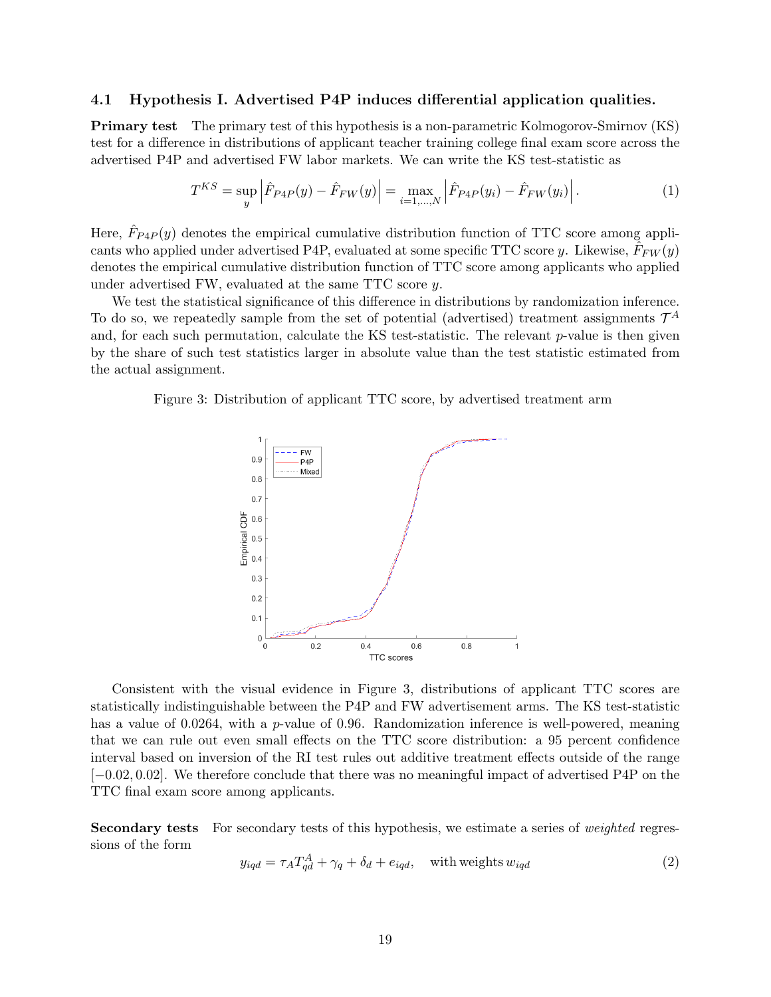#### 4.1 Hypothesis I. Advertised P4P induces differential application qualities.

Primary test The primary test of this hypothesis is a non-parametric Kolmogorov-Smirnov (KS) test for a difference in distributions of applicant teacher training college final exam score across the advertised P4P and advertised FW labor markets. We can write the KS test-statistic as

$$
T^{KS} = \sup_{y} \left| \hat{F}_{P4P}(y) - \hat{F}_{FW}(y) \right| = \max_{i=1,\dots,N} \left| \hat{F}_{P4P}(y_i) - \hat{F}_{FW}(y_i) \right|.
$$
 (1)

Here,  $\hat{F}_{P4P}(y)$  denotes the empirical cumulative distribution function of TTC score among applicants who applied under advertised P4P, evaluated at some specific TTC score y. Likewise,  $\hat{F}_{FW}(y)$ denotes the empirical cumulative distribution function of TTC score among applicants who applied under advertised FW, evaluated at the same TTC score y.

We test the statistical significance of this difference in distributions by randomization inference. To do so, we repeatedly sample from the set of potential (advertised) treatment assignments  $\mathcal{T}^A$ and, for each such permutation, calculate the KS test-statistic. The relevant  $p$ -value is then given by the share of such test statistics larger in absolute value than the test statistic estimated from the actual assignment.

Figure 3: Distribution of applicant TTC score, by advertised treatment arm



Consistent with the visual evidence in Figure 3, distributions of applicant TTC scores are statistically indistinguishable between the P4P and FW advertisement arms. The KS test-statistic has a value of 0.0264, with a p-value of 0.96. Randomization inference is well-powered, meaning that we can rule out even small effects on the TTC score distribution: a 95 percent confidence interval based on inversion of the RI test rules out additive treatment effects outside of the range [−0.02, 0.02]. We therefore conclude that there was no meaningful impact of advertised P4P on the TTC final exam score among applicants.

Secondary tests For secondary tests of this hypothesis, we estimate a series of *weighted* regressions of the form

$$
y_{iqd} = \tau_A T_{qd}^A + \gamma_q + \delta_d + e_{iqd}, \quad \text{with weights } w_{iqd}
$$
 (2)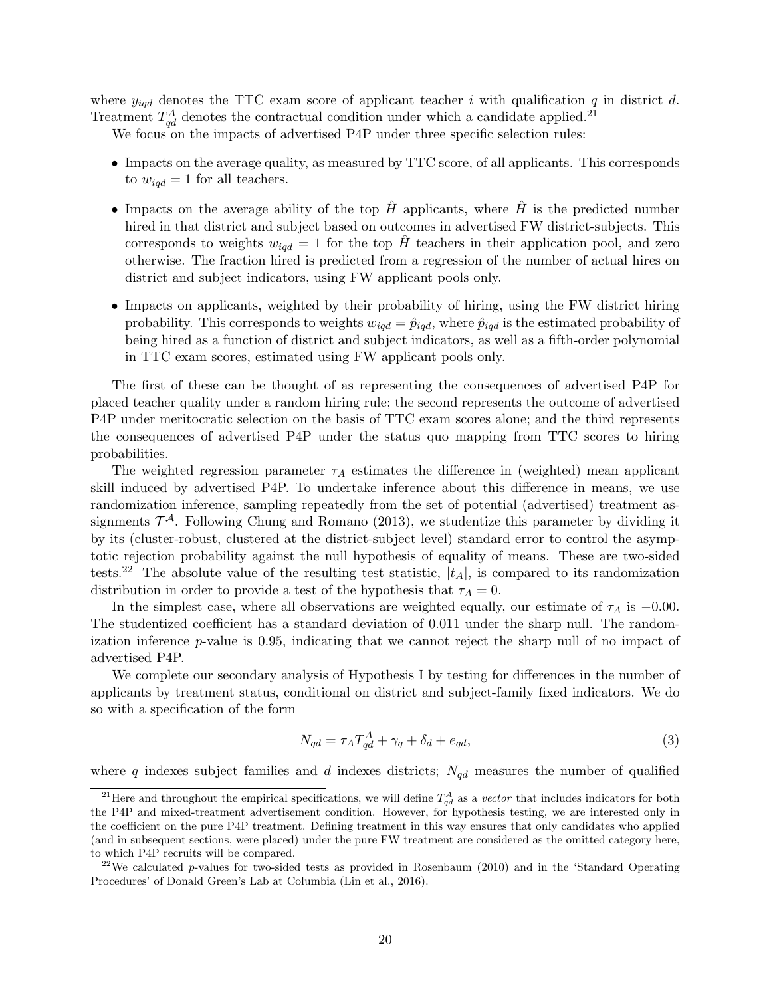where  $y_{iqd}$  denotes the TTC exam score of applicant teacher i with qualification q in district d. Treatment  $T_{qd}^A$  denotes the contractual condition under which a candidate applied.<sup>21</sup>

We focus on the impacts of advertised P4P under three specific selection rules:

- Impacts on the average quality, as measured by TTC score, of all applicants. This corresponds to  $w_{iqd} = 1$  for all teachers.
- Impacts on the average ability of the top  $\hat{H}$  applicants, where  $\hat{H}$  is the predicted number hired in that district and subject based on outcomes in advertised FW district-subjects. This corresponds to weights  $w_{iqd} = 1$  for the top  $\hat{H}$  teachers in their application pool, and zero otherwise. The fraction hired is predicted from a regression of the number of actual hires on district and subject indicators, using FW applicant pools only.
- Impacts on applicants, weighted by their probability of hiring, using the FW district hiring probability. This corresponds to weights  $w_{iqd} = \hat{p}_{iqd}$ , where  $\hat{p}_{iqd}$  is the estimated probability of being hired as a function of district and subject indicators, as well as a fifth-order polynomial in TTC exam scores, estimated using FW applicant pools only.

The first of these can be thought of as representing the consequences of advertised P4P for placed teacher quality under a random hiring rule; the second represents the outcome of advertised P4P under meritocratic selection on the basis of TTC exam scores alone; and the third represents the consequences of advertised P4P under the status quo mapping from TTC scores to hiring probabilities.

The weighted regression parameter  $\tau_A$  estimates the difference in (weighted) mean applicant skill induced by advertised P4P. To undertake inference about this difference in means, we use randomization inference, sampling repeatedly from the set of potential (advertised) treatment assignments  $\mathcal{T}^{\mathcal{A}}$ . Following Chung and Romano (2013), we studentize this parameter by dividing it by its (cluster-robust, clustered at the district-subject level) standard error to control the asymptotic rejection probability against the null hypothesis of equality of means. These are two-sided tests.<sup>22</sup> The absolute value of the resulting test statistic,  $|t_A|$ , is compared to its randomization distribution in order to provide a test of the hypothesis that  $\tau_A = 0$ .

In the simplest case, where all observations are weighted equally, our estimate of  $\tau_A$  is  $-0.00$ . The studentized coefficient has a standard deviation of 0.011 under the sharp null. The randomization inference  $p$ -value is 0.95, indicating that we cannot reject the sharp null of no impact of advertised P4P.

We complete our secondary analysis of Hypothesis I by testing for differences in the number of applicants by treatment status, conditional on district and subject-family fixed indicators. We do so with a specification of the form

$$
N_{qd} = \tau_A T_{qd}^A + \gamma_q + \delta_d + e_{qd},\tag{3}
$$

where q indexes subject families and d indexes districts;  $N_{qd}$  measures the number of qualified

<sup>&</sup>lt;sup>21</sup>Here and throughout the empirical specifications, we will define  $T_{qd}^A$  as a vector that includes indicators for both the P4P and mixed-treatment advertisement condition. However, for hypothesis testing, we are interested only in the coefficient on the pure P4P treatment. Defining treatment in this way ensures that only candidates who applied (and in subsequent sections, were placed) under the pure FW treatment are considered as the omitted category here, to which P4P recruits will be compared.

<sup>&</sup>lt;sup>22</sup>We calculated p-values for two-sided tests as provided in Rosenbaum (2010) and in the 'Standard Operating Procedures' of Donald Green's Lab at Columbia (Lin et al., 2016).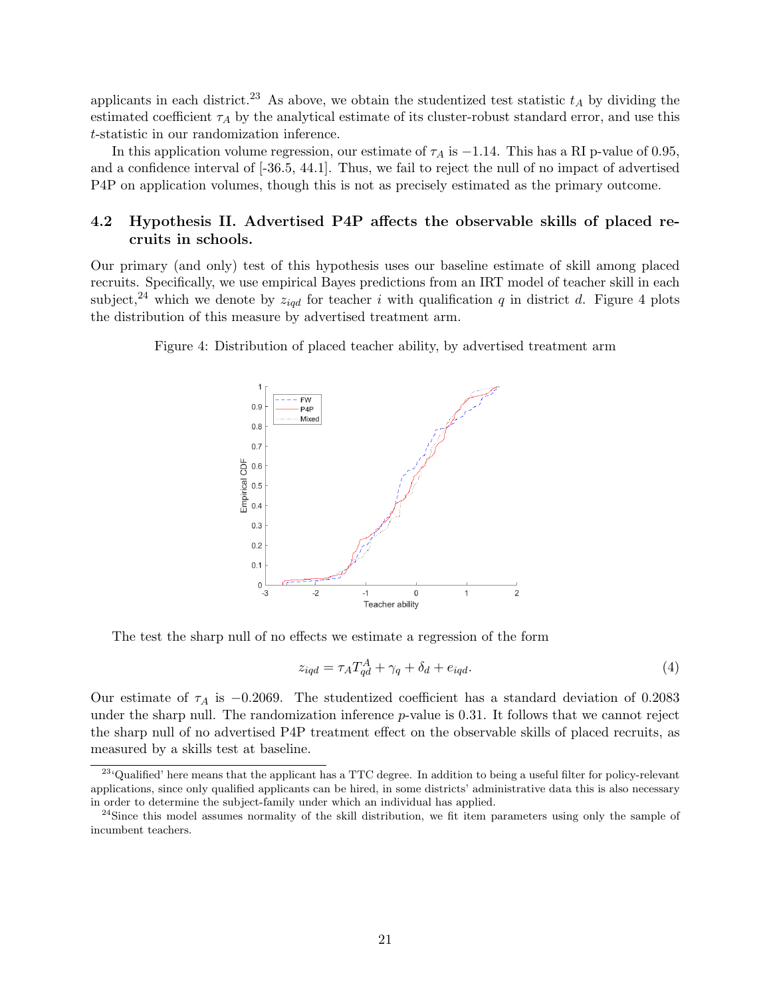applicants in each district.<sup>23</sup> As above, we obtain the studentized test statistic  $t_A$  by dividing the estimated coefficient  $\tau_A$  by the analytical estimate of its cluster-robust standard error, and use this t-statistic in our randomization inference.

In this application volume regression, our estimate of  $\tau_A$  is  $-1.14$ . This has a RI p-value of 0.95, and a confidence interval of [-36.5, 44.1]. Thus, we fail to reject the null of no impact of advertised P4P on application volumes, though this is not as precisely estimated as the primary outcome.

## 4.2 Hypothesis II. Advertised P4P affects the observable skills of placed recruits in schools.

Our primary (and only) test of this hypothesis uses our baseline estimate of skill among placed recruits. Specifically, we use empirical Bayes predictions from an IRT model of teacher skill in each subject,<sup>24</sup> which we denote by  $z_{iqd}$  for teacher i with qualification q in district d. Figure 4 plots the distribution of this measure by advertised treatment arm.

Figure 4: Distribution of placed teacher ability, by advertised treatment arm



The test the sharp null of no effects we estimate a regression of the form

$$
z_{iqd} = \tau_A T_{qd}^A + \gamma_q + \delta_d + e_{iqd}.\tag{4}
$$

Our estimate of  $\tau_A$  is -0.2069. The studentized coefficient has a standard deviation of 0.2083 under the sharp null. The randomization inference  $p$ -value is 0.31. It follows that we cannot reject the sharp null of no advertised P4P treatment effect on the observable skills of placed recruits, as measured by a skills test at baseline.

<sup>&</sup>lt;sup>23</sup>'Qualified' here means that the applicant has a TTC degree. In addition to being a useful filter for policy-relevant applications, since only qualified applicants can be hired, in some districts' administrative data this is also necessary in order to determine the subject-family under which an individual has applied.

<sup>&</sup>lt;sup>24</sup>Since this model assumes normality of the skill distribution, we fit item parameters using only the sample of incumbent teachers.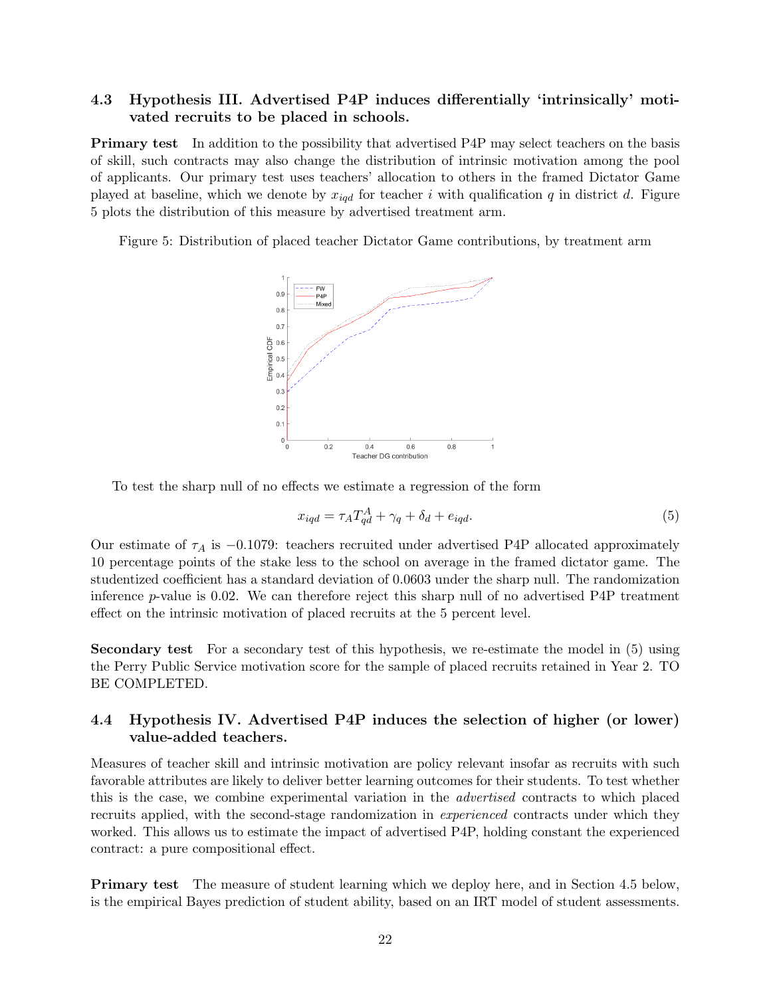## 4.3 Hypothesis III. Advertised P4P induces differentially 'intrinsically' motivated recruits to be placed in schools.

Primary test In addition to the possibility that advertised P4P may select teachers on the basis of skill, such contracts may also change the distribution of intrinsic motivation among the pool of applicants. Our primary test uses teachers' allocation to others in the framed Dictator Game played at baseline, which we denote by  $x_{iqd}$  for teacher i with qualification q in district d. Figure 5 plots the distribution of this measure by advertised treatment arm.

Figure 5: Distribution of placed teacher Dictator Game contributions, by treatment arm



To test the sharp null of no effects we estimate a regression of the form

$$
x_{iqd} = \tau_A T_{qd}^A + \gamma_q + \delta_d + e_{iqd}.\tag{5}
$$

Our estimate of  $\tau_A$  is  $-0.1079$ : teachers recruited under advertised P4P allocated approximately 10 percentage points of the stake less to the school on average in the framed dictator game. The studentized coefficient has a standard deviation of 0.0603 under the sharp null. The randomization inference p-value is 0.02. We can therefore reject this sharp null of no advertised P4P treatment effect on the intrinsic motivation of placed recruits at the 5 percent level.

Secondary test For a secondary test of this hypothesis, we re-estimate the model in  $(5)$  using the Perry Public Service motivation score for the sample of placed recruits retained in Year 2. TO BE COMPLETED.

## 4.4 Hypothesis IV. Advertised P4P induces the selection of higher (or lower) value-added teachers.

Measures of teacher skill and intrinsic motivation are policy relevant insofar as recruits with such favorable attributes are likely to deliver better learning outcomes for their students. To test whether this is the case, we combine experimental variation in the advertised contracts to which placed recruits applied, with the second-stage randomization in *experienced* contracts under which they worked. This allows us to estimate the impact of advertised P4P, holding constant the experienced contract: a pure compositional effect.

Primary test The measure of student learning which we deploy here, and in Section 4.5 below, is the empirical Bayes prediction of student ability, based on an IRT model of student assessments.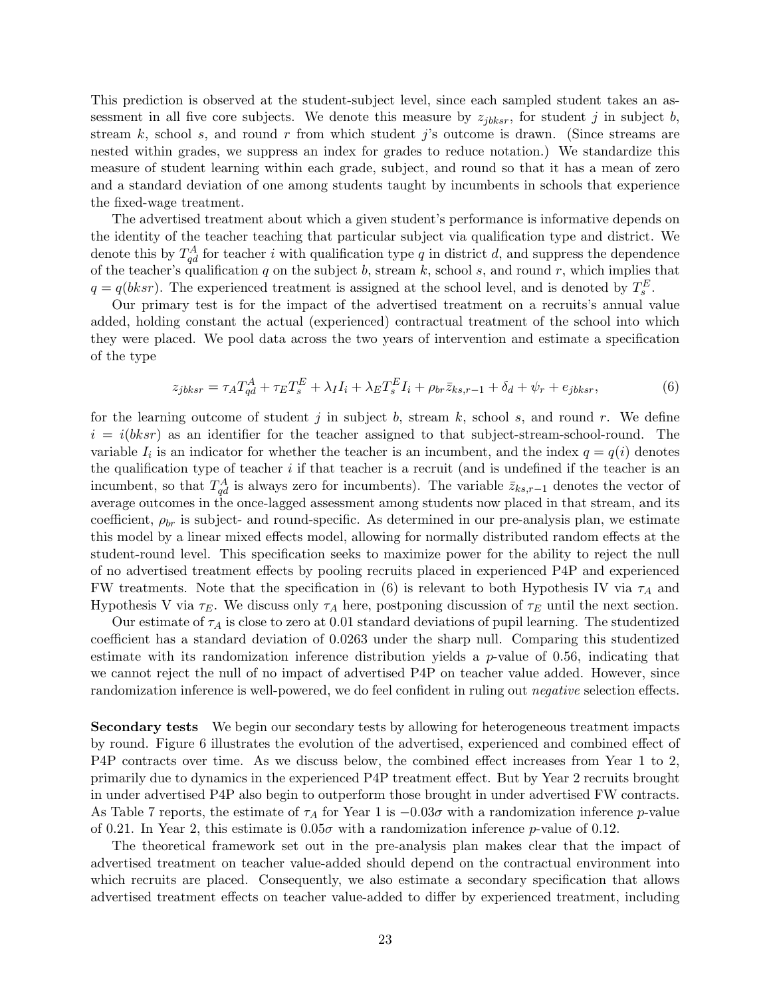This prediction is observed at the student-subject level, since each sampled student takes an assessment in all five core subjects. We denote this measure by  $z_{ibksr}$ , for student j in subject b, stream k, school s, and round r from which student j's outcome is drawn. (Since streams are nested within grades, we suppress an index for grades to reduce notation.) We standardize this measure of student learning within each grade, subject, and round so that it has a mean of zero and a standard deviation of one among students taught by incumbents in schools that experience the fixed-wage treatment.

The advertised treatment about which a given student's performance is informative depends on the identity of the teacher teaching that particular subject via qualification type and district. We denote this by  $T_{qd}^A$  for teacher i with qualification type q in district d, and suppress the dependence of the teacher's qualification  $q$  on the subject  $b$ , stream  $k$ , school  $s$ , and round  $r$ , which implies that  $q = q(bksr)$ . The experienced treatment is assigned at the school level, and is denoted by  $T_s^E$ .

Our primary test is for the impact of the advertised treatment on a recruits's annual value added, holding constant the actual (experienced) contractual treatment of the school into which they were placed. We pool data across the two years of intervention and estimate a specification of the type

$$
z_{jbksr} = \tau_A T_{qd}^A + \tau_E T_s^E + \lambda_I I_i + \lambda_E T_s^E I_i + \rho_{br} \bar{z}_{ks,r-1} + \delta_d + \psi_r + e_{jbksr},\tag{6}
$$

for the learning outcome of student j in subject b, stream k, school s, and round r. We define  $i = i(bksr)$  as an identifier for the teacher assigned to that subject-stream-school-round. The variable  $I_i$  is an indicator for whether the teacher is an incumbent, and the index  $q = q(i)$  denotes the qualification type of teacher  $i$  if that teacher is a recruit (and is undefined if the teacher is an incumbent, so that  $T_{qd}^A$  is always zero for incumbents). The variable  $\bar{z}_{ks,r-1}$  denotes the vector of average outcomes in the once-lagged assessment among students now placed in that stream, and its coefficient,  $\rho_{br}$  is subject- and round-specific. As determined in our pre-analysis plan, we estimate this model by a linear mixed effects model, allowing for normally distributed random effects at the student-round level. This specification seeks to maximize power for the ability to reject the null of no advertised treatment effects by pooling recruits placed in experienced P4P and experienced FW treatments. Note that the specification in (6) is relevant to both Hypothesis IV via  $\tau_A$  and Hypothesis V via  $\tau_E$ . We discuss only  $\tau_A$  here, postponing discussion of  $\tau_E$  until the next section.

Our estimate of  $\tau_A$  is close to zero at 0.01 standard deviations of pupil learning. The studentized coefficient has a standard deviation of 0.0263 under the sharp null. Comparing this studentized estimate with its randomization inference distribution yields a  $p$ -value of 0.56, indicating that we cannot reject the null of no impact of advertised P4P on teacher value added. However, since randomization inference is well-powered, we do feel confident in ruling out *negative* selection effects.

Secondary tests We begin our secondary tests by allowing for heterogeneous treatment impacts by round. Figure 6 illustrates the evolution of the advertised, experienced and combined effect of P4P contracts over time. As we discuss below, the combined effect increases from Year 1 to 2, primarily due to dynamics in the experienced P4P treatment effect. But by Year 2 recruits brought in under advertised P4P also begin to outperform those brought in under advertised FW contracts. As Table 7 reports, the estimate of  $\tau_A$  for Year 1 is  $-0.03\sigma$  with a randomization inference p-value of 0.21. In Year 2, this estimate is  $0.05\sigma$  with a randomization inference p-value of 0.12.

The theoretical framework set out in the pre-analysis plan makes clear that the impact of advertised treatment on teacher value-added should depend on the contractual environment into which recruits are placed. Consequently, we also estimate a secondary specification that allows advertised treatment effects on teacher value-added to differ by experienced treatment, including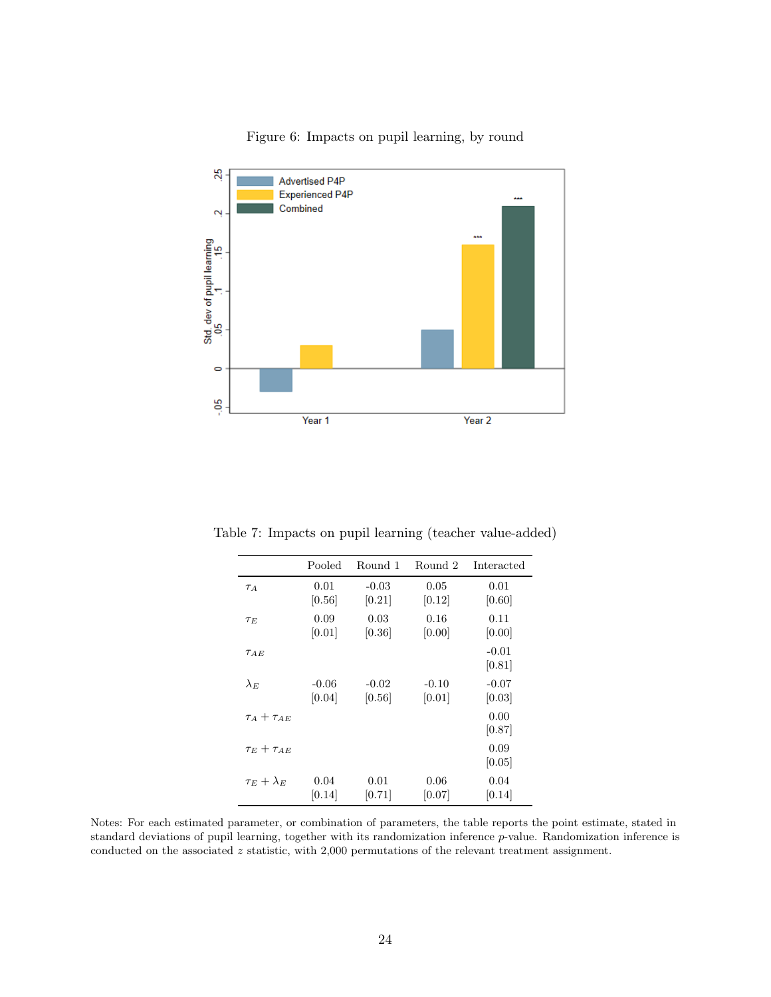

## Figure 6: Impacts on pupil learning, by round

Table 7: Impacts on pupil learning (teacher value-added)

|                      | Pooled  | Round 1 | Round 2 | Interacted        |
|----------------------|---------|---------|---------|-------------------|
| $\tau_A$             | 0.01    | $-0.03$ | 0.05    | 0.01              |
|                      | [0.56]  | [0.21]  | [0.12]  | [0.60]            |
| $\tau_E$             | 0.09    | 0.03    | 0.16    | 0.11              |
|                      | [0.01]  | [0.36]  | [0.00]  | [0.00]            |
| $\tau_{AE}$          |         |         |         | $-0.01$<br>[0.81] |
| $\lambda_E$          | $-0.06$ | $-0.02$ | $-0.10$ | $-0.07$           |
|                      | [0.04]  | [0.56]  | [0.01]  | [0.03]            |
| $\tau_A+\tau_{AE}$   |         |         |         | 0.00<br>[0.87]    |
| $\tau_E + \tau_{AE}$ |         |         |         | 0.09<br>[0.05]    |
| $\tau_E + \lambda_E$ | 0.04    | 0.01    | 0.06    | 0.04              |
|                      | [0.14]  | [0.71]  | [0.07]  | [0.14]            |

Notes: For each estimated parameter, or combination of parameters, the table reports the point estimate, stated in standard deviations of pupil learning, together with its randomization inference p-value. Randomization inference is conducted on the associated z statistic, with 2,000 permutations of the relevant treatment assignment.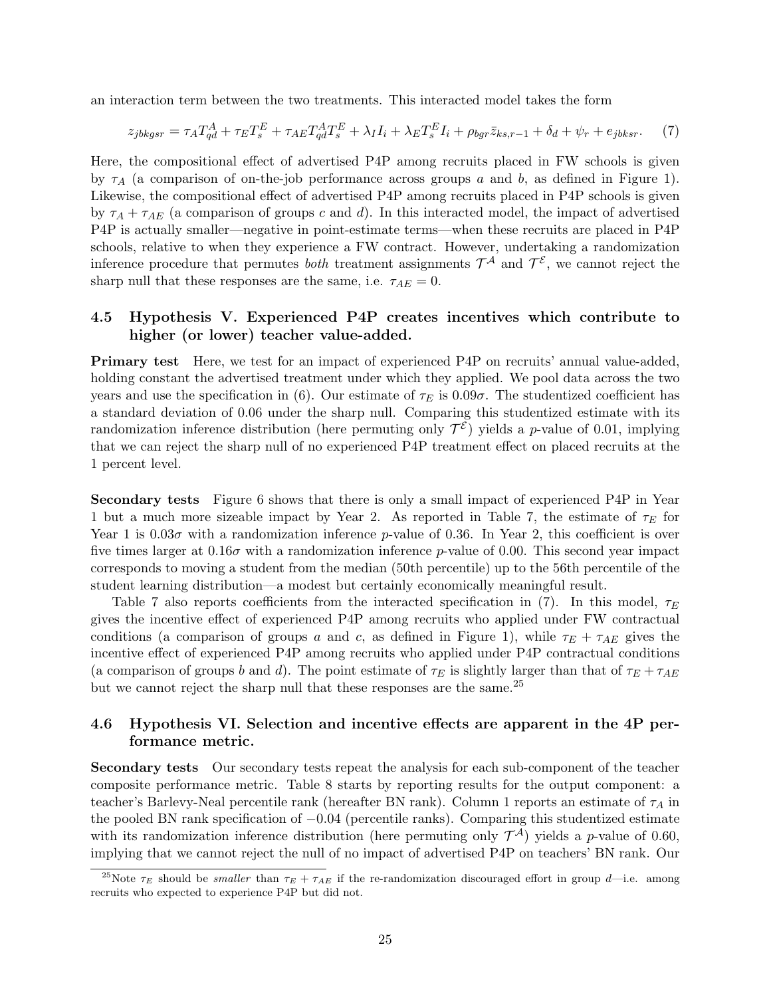an interaction term between the two treatments. This interacted model takes the form

$$
z_{jbkgsr} = \tau_A T_{qd}^A + \tau_E T_s^E + \tau_{AE} T_{qd}^A T_s^E + \lambda_I I_i + \lambda_E T_s^E I_i + \rho_{bgr} \bar{z}_{ks,r-1} + \delta_d + \psi_r + e_{jbksr}.
$$
 (7)

Here, the compositional effect of advertised P4P among recruits placed in FW schools is given by  $\tau_A$  (a comparison of on-the-job performance across groups a and b, as defined in Figure 1). Likewise, the compositional effect of advertised P4P among recruits placed in P4P schools is given by  $\tau_A + \tau_{AE}$  (a comparison of groups c and d). In this interacted model, the impact of advertised P4P is actually smaller—negative in point-estimate terms—when these recruits are placed in P4P schools, relative to when they experience a FW contract. However, undertaking a randomization inference procedure that permutes *both* treatment assignments  $\mathcal{T}^{\mathcal{A}}$  and  $\mathcal{T}^{\mathcal{E}}$ , we cannot reject the sharp null that these responses are the same, i.e.  $\tau_{AE} = 0$ .

## 4.5 Hypothesis V. Experienced P4P creates incentives which contribute to higher (or lower) teacher value-added.

Primary test Here, we test for an impact of experienced P4P on recruits' annual value-added, holding constant the advertised treatment under which they applied. We pool data across the two years and use the specification in (6). Our estimate of  $\tau_E$  is 0.09 $\sigma$ . The studentized coefficient has a standard deviation of 0.06 under the sharp null. Comparing this studentized estimate with its randomization inference distribution (here permuting only  $\mathcal{T}^{\mathcal{E}}$ ) yields a *p*-value of 0.01, implying that we can reject the sharp null of no experienced P4P treatment effect on placed recruits at the 1 percent level.

Secondary tests Figure 6 shows that there is only a small impact of experienced P4P in Year 1 but a much more sizeable impact by Year 2. As reported in Table 7, the estimate of  $\tau_E$  for Year 1 is  $0.03\sigma$  with a randomization inference p-value of 0.36. In Year 2, this coefficient is over five times larger at  $0.16\sigma$  with a randomization inference p-value of 0.00. This second year impact corresponds to moving a student from the median (50th percentile) up to the 56th percentile of the student learning distribution—a modest but certainly economically meaningful result.

Table 7 also reports coefficients from the interacted specification in (7). In this model,  $\tau_E$ gives the incentive effect of experienced P4P among recruits who applied under FW contractual conditions (a comparison of groups a and c, as defined in Figure 1), while  $\tau_E + \tau_{AE}$  gives the incentive effect of experienced P4P among recruits who applied under P4P contractual conditions (a comparison of groups b and d). The point estimate of  $\tau_E$  is slightly larger than that of  $\tau_E + \tau_{AE}$ but we cannot reject the sharp null that these responses are the same.<sup>25</sup>

## 4.6 Hypothesis VI. Selection and incentive effects are apparent in the 4P performance metric.

Secondary tests Our secondary tests repeat the analysis for each sub-component of the teacher composite performance metric. Table 8 starts by reporting results for the output component: a teacher's Barlevy-Neal percentile rank (hereafter BN rank). Column 1 reports an estimate of  $\tau_A$  in the pooled BN rank specification of −0.04 (percentile ranks). Comparing this studentized estimate with its randomization inference distribution (here permuting only  $\mathcal{T}^{\mathcal{A}}$ ) yields a *p*-value of 0.60, implying that we cannot reject the null of no impact of advertised P4P on teachers' BN rank. Our

<sup>&</sup>lt;sup>25</sup>Note  $\tau_E$  should be *smaller* than  $\tau_E + \tau_{AE}$  if the re-randomization discouraged effort in group d—i.e. among recruits who expected to experience P4P but did not.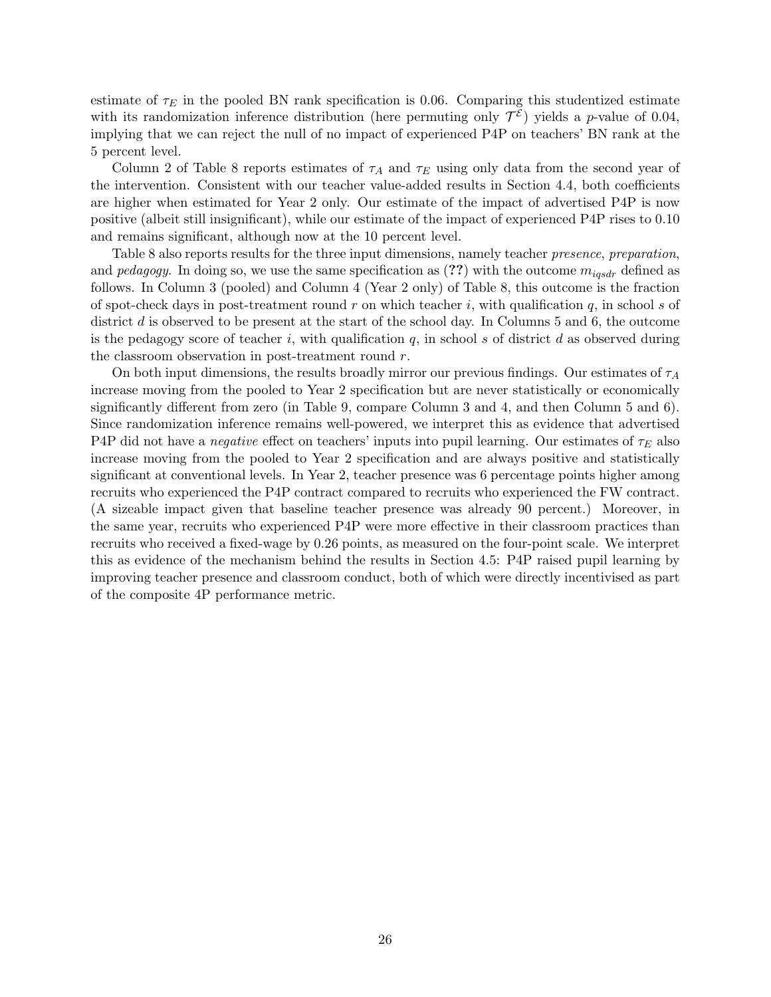estimate of  $\tau_E$  in the pooled BN rank specification is 0.06. Comparing this studentized estimate with its randomization inference distribution (here permuting only  $\mathcal{T}^{\mathcal{E}}$ ) yields a *p*-value of 0.04, implying that we can reject the null of no impact of experienced P4P on teachers' BN rank at the 5 percent level.

Column 2 of Table 8 reports estimates of  $\tau_A$  and  $\tau_E$  using only data from the second year of the intervention. Consistent with our teacher value-added results in Section 4.4, both coefficients are higher when estimated for Year 2 only. Our estimate of the impact of advertised P4P is now positive (albeit still insignificant), while our estimate of the impact of experienced P4P rises to 0.10 and remains significant, although now at the 10 percent level.

Table 8 also reports results for the three input dimensions, namely teacher *presence*, *preparation*, and pedagogy. In doing so, we use the same specification as  $(??)$  with the outcome  $m_{igsdr}$  defined as follows. In Column 3 (pooled) and Column 4 (Year 2 only) of Table 8, this outcome is the fraction of spot-check days in post-treatment round r on which teacher i, with qualification  $q$ , in school s of district d is observed to be present at the start of the school day. In Columns 5 and 6, the outcome is the pedagogy score of teacher i, with qualification  $q$ , in school s of district d as observed during the classroom observation in post-treatment round r.

On both input dimensions, the results broadly mirror our previous findings. Our estimates of  $\tau_A$ increase moving from the pooled to Year 2 specification but are never statistically or economically significantly different from zero (in Table 9, compare Column 3 and 4, and then Column 5 and 6). Since randomization inference remains well-powered, we interpret this as evidence that advertised P4P did not have a *negative* effect on teachers' inputs into pupil learning. Our estimates of  $\tau_E$  also increase moving from the pooled to Year 2 specification and are always positive and statistically significant at conventional levels. In Year 2, teacher presence was 6 percentage points higher among recruits who experienced the P4P contract compared to recruits who experienced the FW contract. (A sizeable impact given that baseline teacher presence was already 90 percent.) Moreover, in the same year, recruits who experienced P4P were more effective in their classroom practices than recruits who received a fixed-wage by 0.26 points, as measured on the four-point scale. We interpret this as evidence of the mechanism behind the results in Section 4.5: P4P raised pupil learning by improving teacher presence and classroom conduct, both of which were directly incentivised as part of the composite 4P performance metric.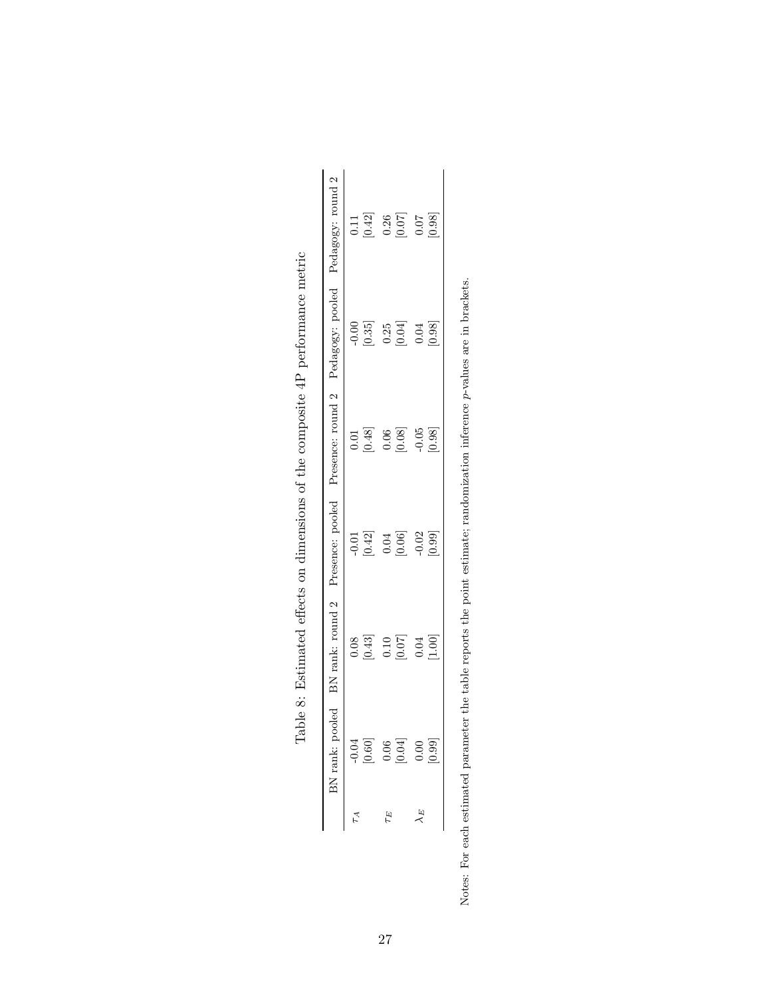| BN rank: pooled                                                                                   |                                              |                   | BN rank: round 2 Presence: pooled Presence: round 2 Pedagogy: pooled Pedagogy: round 2 |                                                               |                                                                                                                   |
|---------------------------------------------------------------------------------------------------|----------------------------------------------|-------------------|----------------------------------------------------------------------------------------|---------------------------------------------------------------|-------------------------------------------------------------------------------------------------------------------|
|                                                                                                   |                                              |                   |                                                                                        |                                                               |                                                                                                                   |
| $\begin{bmatrix} 66610 \\ 10000 \\ 0.06 \\ 0.06 \\ 0.06 \\ 0.01 \\ 0.04 \\ 0.09 \\ \end{bmatrix}$ | $\begin{bmatrix} 0.08 \\ 0.43 \end{bmatrix}$ | $-0.01$ [0.42]    | $\begin{bmatrix} 0.01 \\ 0.48 \end{bmatrix}$                                           | $-0.35$                                                       | $\frac{11}{0.42}$                                                                                                 |
| $\tau_E$                                                                                          |                                              |                   |                                                                                        |                                                               |                                                                                                                   |
|                                                                                                   | $\begin{array}{c} 0.10 \\ 0.07 \end{array}$  | $0.04\atop[0.06]$ | $\begin{array}{c} 0.06 \\ 0.08 \\ -0.05 \\ 0.98 \end{array}$                           | $\begin{array}{c} 0.25 \\ 0.04 \\ 0.03 \\ \hline \end{array}$ | $\begin{bmatrix} 86 \\[-4pt] 0.07 \\[-4pt] 0.07 \\[-4pt] 0.07 \\[-4pt] 0.98 \\[-4pt] 0.98 \\[-4pt] \end{bmatrix}$ |
|                                                                                                   | $0.04$<br>[1.00]                             | $-0.02$<br>[0.99] |                                                                                        |                                                               |                                                                                                                   |
|                                                                                                   |                                              |                   |                                                                                        |                                                               |                                                                                                                   |

|             | I offorta on direction of the example of a 1D percentary and research the<br>i<br>j |
|-------------|-------------------------------------------------------------------------------------|
|             |                                                                                     |
|             |                                                                                     |
|             | ı                                                                                   |
|             |                                                                                     |
|             |                                                                                     |
|             | I THE COROCATED CERT CERT ELECTRIC TELEVISION CONTRACT                              |
|             |                                                                                     |
|             | りし シーニン ジン                                                                          |
|             |                                                                                     |
| :<br>F      | $-24.74$ and $-2.74$<br>$-222$ $-222$                                               |
|             |                                                                                     |
| ¢           |                                                                                     |
| .<br>.<br>. |                                                                                     |
|             |                                                                                     |

Notes: For each estimated parameter the table reports the point estimate; randomization inference p-values are in brackets. p-values are in brackets. Notes: For each estimated parameter the table reports the point estimate; randomization inference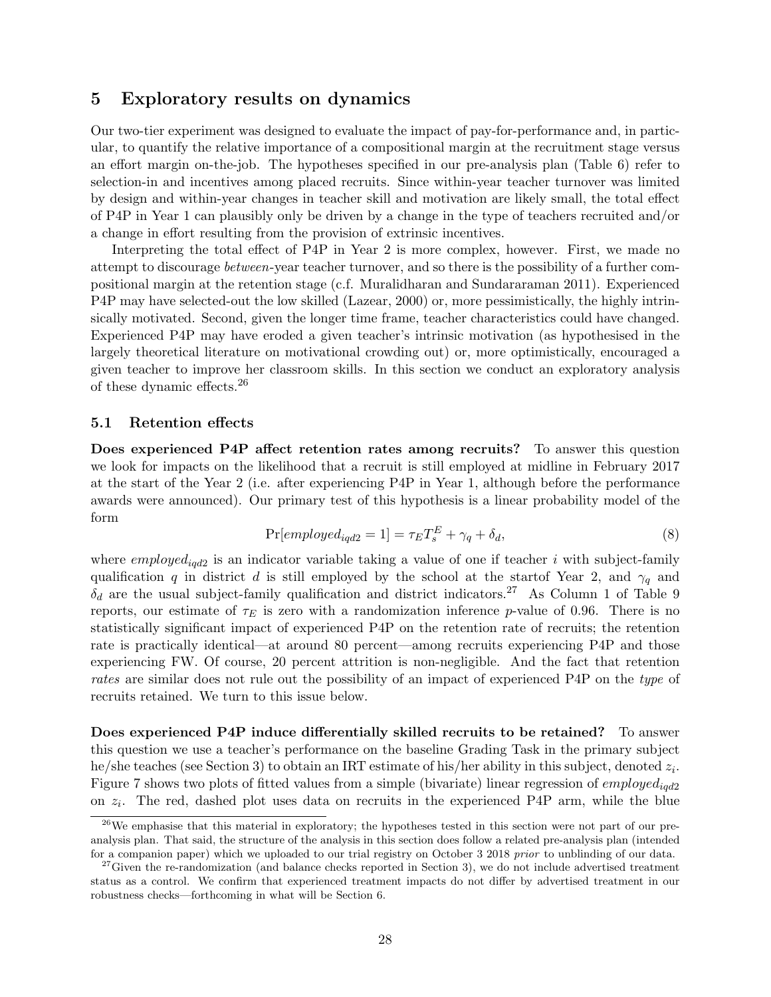## 5 Exploratory results on dynamics

Our two-tier experiment was designed to evaluate the impact of pay-for-performance and, in particular, to quantify the relative importance of a compositional margin at the recruitment stage versus an effort margin on-the-job. The hypotheses specified in our pre-analysis plan (Table 6) refer to selection-in and incentives among placed recruits. Since within-year teacher turnover was limited by design and within-year changes in teacher skill and motivation are likely small, the total effect of P4P in Year 1 can plausibly only be driven by a change in the type of teachers recruited and/or a change in effort resulting from the provision of extrinsic incentives.

Interpreting the total effect of P4P in Year 2 is more complex, however. First, we made no attempt to discourage between-year teacher turnover, and so there is the possibility of a further compositional margin at the retention stage (c.f. Muralidharan and Sundararaman 2011). Experienced P4P may have selected-out the low skilled (Lazear, 2000) or, more pessimistically, the highly intrinsically motivated. Second, given the longer time frame, teacher characteristics could have changed. Experienced P4P may have eroded a given teacher's intrinsic motivation (as hypothesised in the largely theoretical literature on motivational crowding out) or, more optimistically, encouraged a given teacher to improve her classroom skills. In this section we conduct an exploratory analysis of these dynamic effects.<sup>26</sup>

#### 5.1 Retention effects

Does experienced P4P affect retention rates among recruits? To answer this question we look for impacts on the likelihood that a recruit is still employed at midline in February 2017 at the start of the Year 2 (i.e. after experiencing P4P in Year 1, although before the performance awards were announced). Our primary test of this hypothesis is a linear probability model of the form

$$
Pr[employed_{iqd2} = 1] = \tau_E T_s^E + \gamma_q + \delta_d,
$$
\n(8)

where  $emploged<sub>iqd2</sub>$  is an indicator variable taking a value of one if teacher i with subject-family qualification q in district d is still employed by the school at the startof Year 2, and  $\gamma_q$  and  $\delta_d$  are the usual subject-family qualification and district indicators.<sup>27</sup> As Column 1 of Table 9 reports, our estimate of  $\tau_E$  is zero with a randomization inference p-value of 0.96. There is no statistically significant impact of experienced P4P on the retention rate of recruits; the retention rate is practically identical—at around 80 percent—among recruits experiencing P4P and those experiencing FW. Of course, 20 percent attrition is non-negligible. And the fact that retention rates are similar does not rule out the possibility of an impact of experienced P4P on the type of recruits retained. We turn to this issue below.

Does experienced P4P induce differentially skilled recruits to be retained? To answer this question we use a teacher's performance on the baseline Grading Task in the primary subject he/she teaches (see Section 3) to obtain an IRT estimate of his/her ability in this subject, denoted  $z_i$ . Figure 7 shows two plots of fitted values from a simple (bivariate) linear regression of  $emploged_{i\alpha 2}$ on  $z_i$ . The red, dashed plot uses data on recruits in the experienced P4P arm, while the blue

<sup>&</sup>lt;sup>26</sup>We emphasise that this material in exploratory; the hypotheses tested in this section were not part of our preanalysis plan. That said, the structure of the analysis in this section does follow a related pre-analysis plan (intended for a companion paper) which we uploaded to our trial registry on October 3 2018 prior to unblinding of our data.

 $27$  Given the re-randomization (and balance checks reported in Section 3), we do not include advertised treatment status as a control. We confirm that experienced treatment impacts do not differ by advertised treatment in our robustness checks—forthcoming in what will be Section 6.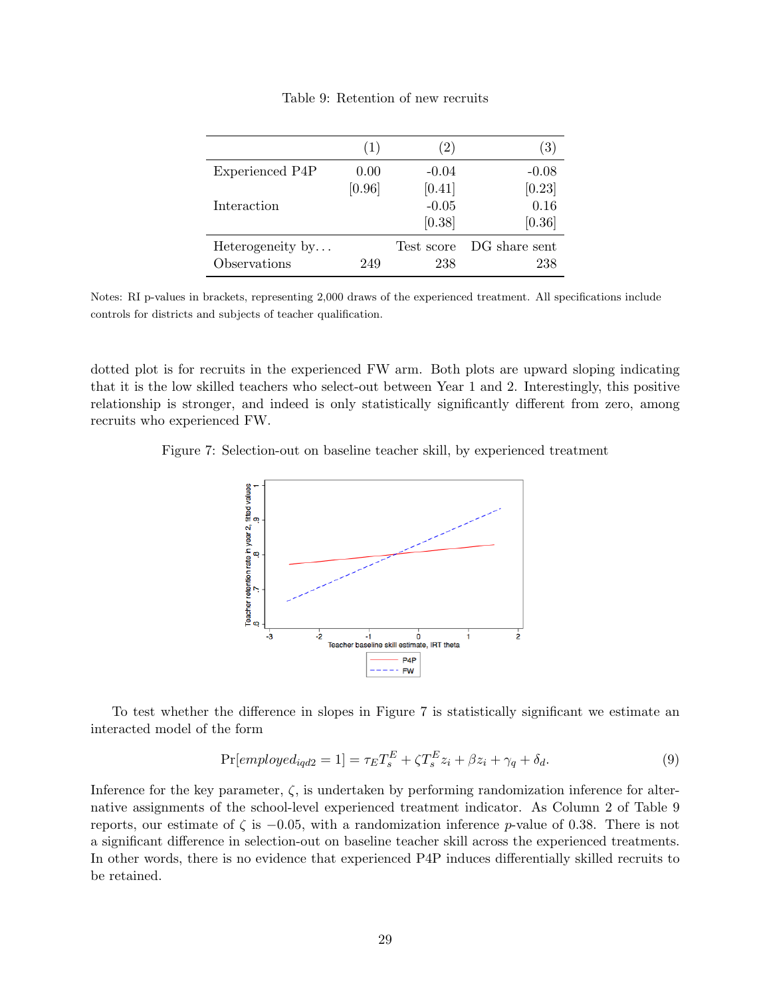|                  | (1)    | $\left( 2\right)$ | (3)           |
|------------------|--------|-------------------|---------------|
| Experienced P4P  | 0.00   | $-0.04$           | $-0.08$       |
|                  | [0.96] | [0.41]            | [0.23]        |
| Interaction      |        | $-0.05$           | 0.16          |
|                  |        | [0.38]            | [0.36]        |
| Heterogeneity by |        | Test score        | DG share sent |
| Observations     | 249    | 238               | 238           |

Table 9: Retention of new recruits

Notes: RI p-values in brackets, representing 2,000 draws of the experienced treatment. All specifications include controls for districts and subjects of teacher qualification.

dotted plot is for recruits in the experienced FW arm. Both plots are upward sloping indicating that it is the low skilled teachers who select-out between Year 1 and 2. Interestingly, this positive relationship is stronger, and indeed is only statistically significantly different from zero, among recruits who experienced FW.

Figure 7: Selection-out on baseline teacher skill, by experienced treatment



To test whether the difference in slopes in Figure 7 is statistically significant we estimate an interacted model of the form

$$
\Pr[employed_{iqd2} = 1] = \tau_E T_s^E + \zeta T_s^E z_i + \beta z_i + \gamma_q + \delta_d. \tag{9}
$$

Inference for the key parameter,  $\zeta$ , is undertaken by performing randomization inference for alternative assignments of the school-level experienced treatment indicator. As Column 2 of Table 9 reports, our estimate of  $\zeta$  is  $-0.05$ , with a randomization inference p-value of 0.38. There is not a significant difference in selection-out on baseline teacher skill across the experienced treatments. In other words, there is no evidence that experienced P4P induces differentially skilled recruits to be retained.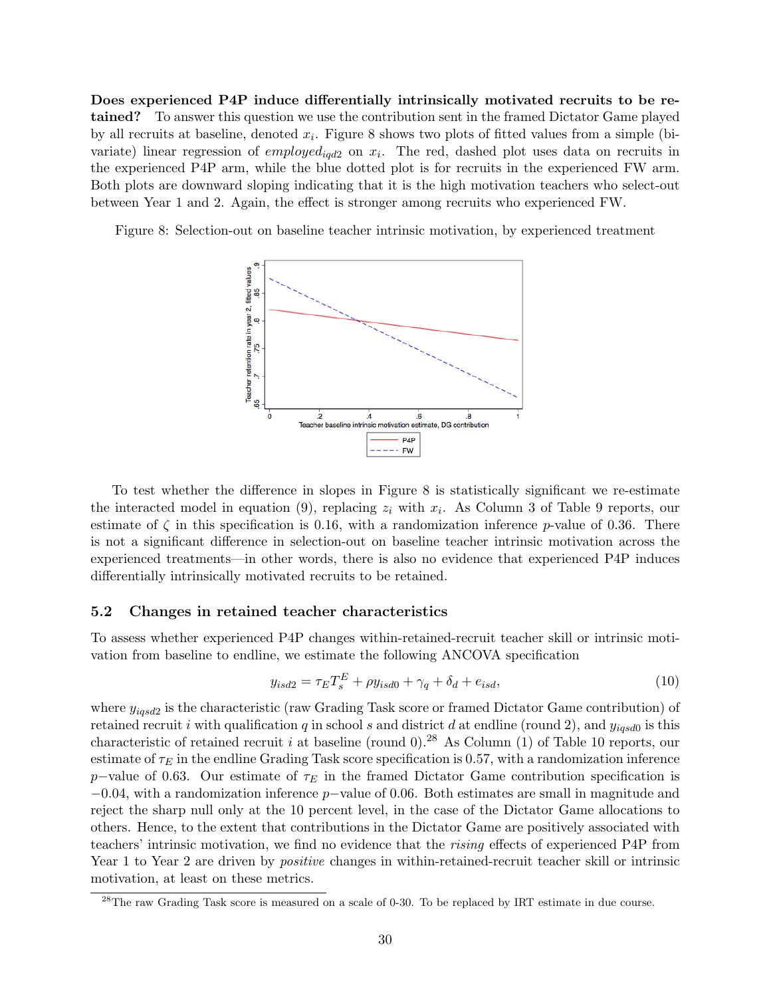Does experienced P4P induce differentially intrinsically motivated recruits to be retained? To answer this question we use the contribution sent in the framed Dictator Game played by all recruits at baseline, denoted  $x_i$ . Figure 8 shows two plots of fitted values from a simple (bivariate) linear regression of  $employed_{iqd2}$  on  $x_i$ . The red, dashed plot uses data on recruits in the experienced P4P arm, while the blue dotted plot is for recruits in the experienced FW arm. Both plots are downward sloping indicating that it is the high motivation teachers who select-out between Year 1 and 2. Again, the effect is stronger among recruits who experienced FW.

Figure 8: Selection-out on baseline teacher intrinsic motivation, by experienced treatment



To test whether the difference in slopes in Figure 8 is statistically significant we re-estimate the interacted model in equation (9), replacing  $z_i$  with  $x_i$ . As Column 3 of Table 9 reports, our estimate of  $\zeta$  in this specification is 0.16, with a randomization inference p-value of 0.36. There is not a significant difference in selection-out on baseline teacher intrinsic motivation across the experienced treatments—in other words, there is also no evidence that experienced P4P induces differentially intrinsically motivated recruits to be retained.

#### 5.2 Changes in retained teacher characteristics

To assess whether experienced P4P changes within-retained-recruit teacher skill or intrinsic motivation from baseline to endline, we estimate the following ANCOVA specification

$$
y_{isd2} = \tau_E T_s^E + \rho y_{isd0} + \gamma_q + \delta_d + e_{isd},\tag{10}
$$

where  $y_{iqsd2}$  is the characteristic (raw Grading Task score or framed Dictator Game contribution) of retained recruit i with qualification q in school s and district d at endline (round 2), and  $y_{iqsd0}$  is this characteristic of retained recruit i at baseline (round 0).<sup>28</sup> As Column (1) of Table 10 reports, our estimate of  $\tau_E$  in the endline Grading Task score specification is 0.57, with a randomization inference p–value of 0.63. Our estimate of  $\tau_E$  in the framed Dictator Game contribution specification is  $-0.04$ , with a randomization inference p–value of 0.06. Both estimates are small in magnitude and reject the sharp null only at the 10 percent level, in the case of the Dictator Game allocations to others. Hence, to the extent that contributions in the Dictator Game are positively associated with teachers' intrinsic motivation, we find no evidence that the rising effects of experienced P4P from Year 1 to Year 2 are driven by *positive* changes in within-retained-recruit teacher skill or intrinsic motivation, at least on these metrics.

<sup>&</sup>lt;sup>28</sup>The raw Grading Task score is measured on a scale of 0-30. To be replaced by IRT estimate in due course.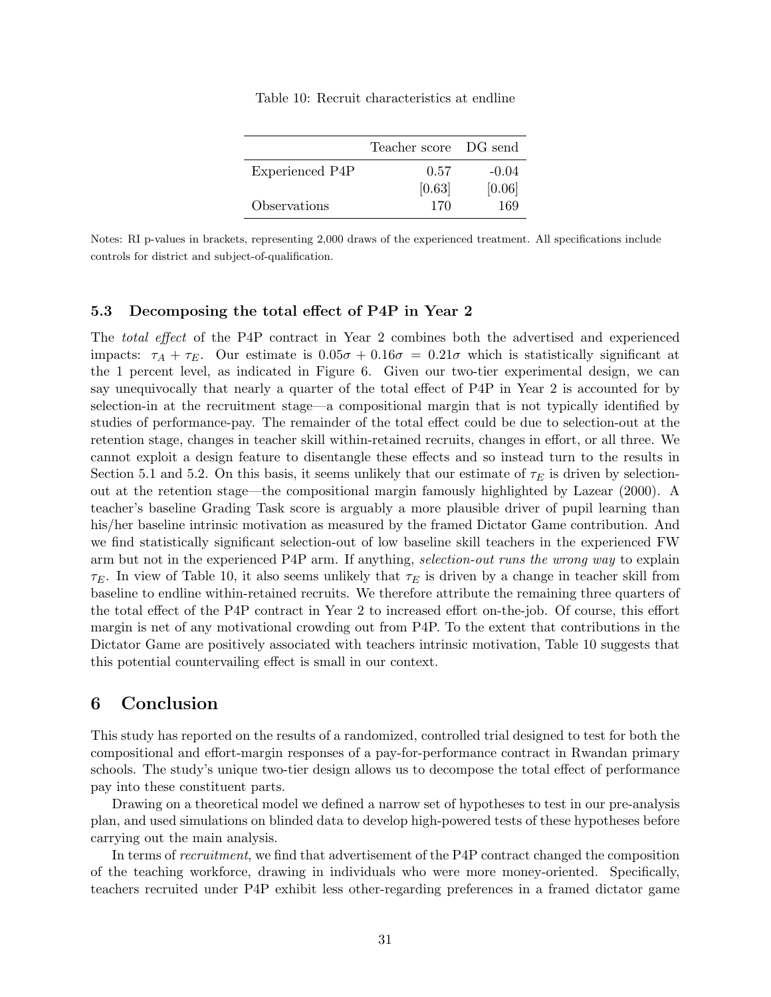|                 | Teacher score DG send |         |
|-----------------|-----------------------|---------|
| Experienced P4P | 0.57                  | $-0.04$ |
|                 | [0.63]                | [0.06]  |
| Observations    | 170                   | 169     |

Table 10: Recruit characteristics at endline

Notes: RI p-values in brackets, representing 2,000 draws of the experienced treatment. All specifications include controls for district and subject-of-qualification.

## 5.3 Decomposing the total effect of P4P in Year 2

The total effect of the P4P contract in Year 2 combines both the advertised and experienced impacts:  $\tau_A + \tau_E$ . Our estimate is  $0.05\sigma + 0.16\sigma = 0.21\sigma$  which is statistically significant at the 1 percent level, as indicated in Figure 6. Given our two-tier experimental design, we can say unequivocally that nearly a quarter of the total effect of P4P in Year 2 is accounted for by selection-in at the recruitment stage—a compositional margin that is not typically identified by studies of performance-pay. The remainder of the total effect could be due to selection-out at the retention stage, changes in teacher skill within-retained recruits, changes in effort, or all three. We cannot exploit a design feature to disentangle these effects and so instead turn to the results in Section 5.1 and 5.2. On this basis, it seems unlikely that our estimate of  $\tau_E$  is driven by selectionout at the retention stage—the compositional margin famously highlighted by Lazear (2000). A teacher's baseline Grading Task score is arguably a more plausible driver of pupil learning than his/her baseline intrinsic motivation as measured by the framed Dictator Game contribution. And we find statistically significant selection-out of low baseline skill teachers in the experienced FW arm but not in the experienced P4P arm. If anything, selection-out runs the wrong way to explain  $\tau_E$ . In view of Table 10, it also seems unlikely that  $\tau_E$  is driven by a change in teacher skill from baseline to endline within-retained recruits. We therefore attribute the remaining three quarters of the total effect of the P4P contract in Year 2 to increased effort on-the-job. Of course, this effort margin is net of any motivational crowding out from P4P. To the extent that contributions in the Dictator Game are positively associated with teachers intrinsic motivation, Table 10 suggests that this potential countervailing effect is small in our context.

## 6 Conclusion

This study has reported on the results of a randomized, controlled trial designed to test for both the compositional and effort-margin responses of a pay-for-performance contract in Rwandan primary schools. The study's unique two-tier design allows us to decompose the total effect of performance pay into these constituent parts.

Drawing on a theoretical model we defined a narrow set of hypotheses to test in our pre-analysis plan, and used simulations on blinded data to develop high-powered tests of these hypotheses before carrying out the main analysis.

In terms of recruitment, we find that advertisement of the P4P contract changed the composition of the teaching workforce, drawing in individuals who were more money-oriented. Specifically, teachers recruited under P4P exhibit less other-regarding preferences in a framed dictator game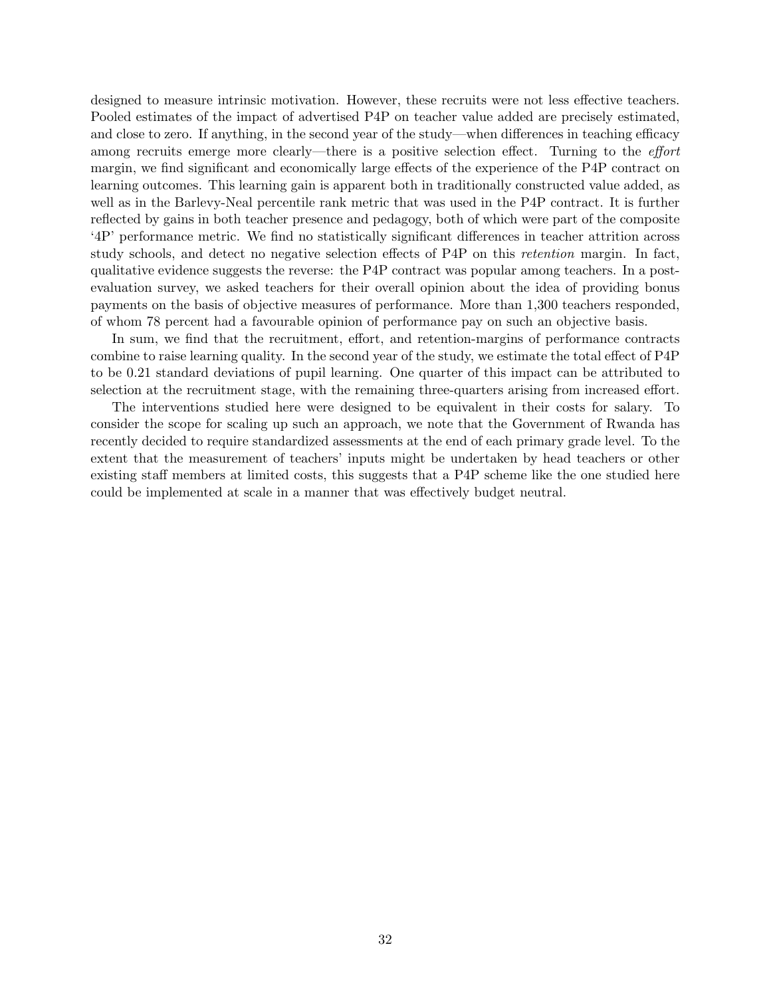designed to measure intrinsic motivation. However, these recruits were not less effective teachers. Pooled estimates of the impact of advertised P4P on teacher value added are precisely estimated, and close to zero. If anything, in the second year of the study—when differences in teaching efficacy among recruits emerge more clearly—there is a positive selection effect. Turning to the effort margin, we find significant and economically large effects of the experience of the P4P contract on learning outcomes. This learning gain is apparent both in traditionally constructed value added, as well as in the Barlevy-Neal percentile rank metric that was used in the P4P contract. It is further reflected by gains in both teacher presence and pedagogy, both of which were part of the composite '4P' performance metric. We find no statistically significant differences in teacher attrition across study schools, and detect no negative selection effects of P4P on this retention margin. In fact, qualitative evidence suggests the reverse: the P4P contract was popular among teachers. In a postevaluation survey, we asked teachers for their overall opinion about the idea of providing bonus payments on the basis of objective measures of performance. More than 1,300 teachers responded, of whom 78 percent had a favourable opinion of performance pay on such an objective basis.

In sum, we find that the recruitment, effort, and retention-margins of performance contracts combine to raise learning quality. In the second year of the study, we estimate the total effect of P4P to be 0.21 standard deviations of pupil learning. One quarter of this impact can be attributed to selection at the recruitment stage, with the remaining three-quarters arising from increased effort.

The interventions studied here were designed to be equivalent in their costs for salary. To consider the scope for scaling up such an approach, we note that the Government of Rwanda has recently decided to require standardized assessments at the end of each primary grade level. To the extent that the measurement of teachers' inputs might be undertaken by head teachers or other existing staff members at limited costs, this suggests that a P4P scheme like the one studied here could be implemented at scale in a manner that was effectively budget neutral.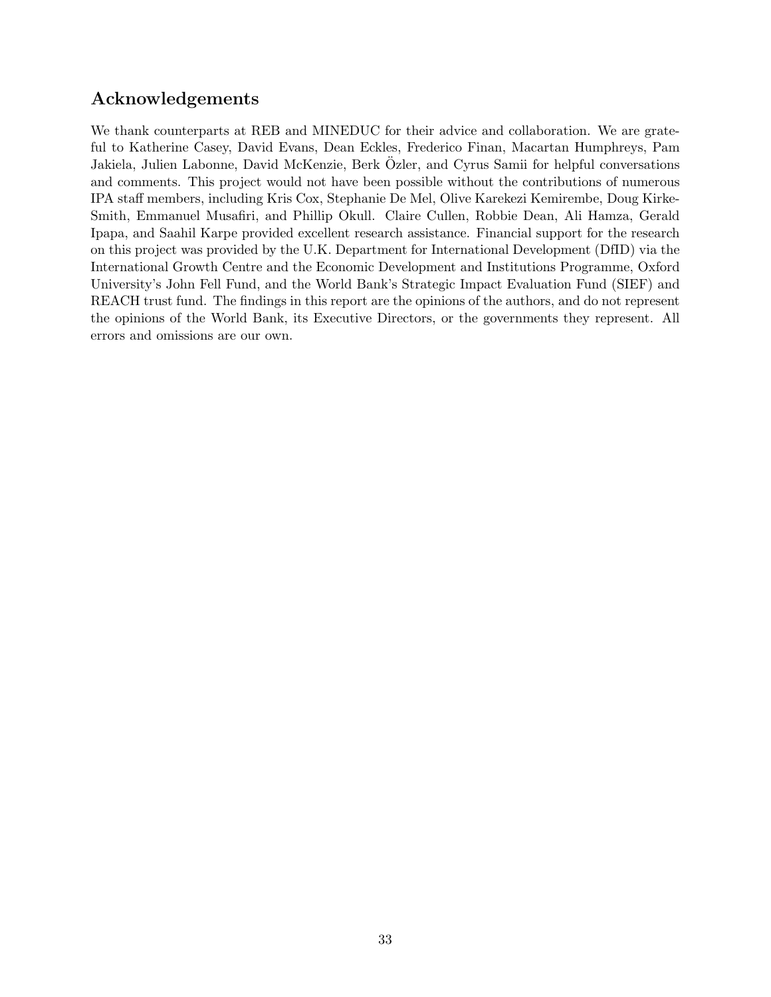## Acknowledgements

We thank counterparts at REB and MINEDUC for their advice and collaboration. We are grateful to Katherine Casey, David Evans, Dean Eckles, Frederico Finan, Macartan Humphreys, Pam Jakiela, Julien Labonne, David McKenzie, Berk Ozler, and Cyrus Samii for helpful conversations ¨ and comments. This project would not have been possible without the contributions of numerous IPA staff members, including Kris Cox, Stephanie De Mel, Olive Karekezi Kemirembe, Doug Kirke-Smith, Emmanuel Musafiri, and Phillip Okull. Claire Cullen, Robbie Dean, Ali Hamza, Gerald Ipapa, and Saahil Karpe provided excellent research assistance. Financial support for the research on this project was provided by the U.K. Department for International Development (DfID) via the International Growth Centre and the Economic Development and Institutions Programme, Oxford University's John Fell Fund, and the World Bank's Strategic Impact Evaluation Fund (SIEF) and REACH trust fund. The findings in this report are the opinions of the authors, and do not represent the opinions of the World Bank, its Executive Directors, or the governments they represent. All errors and omissions are our own.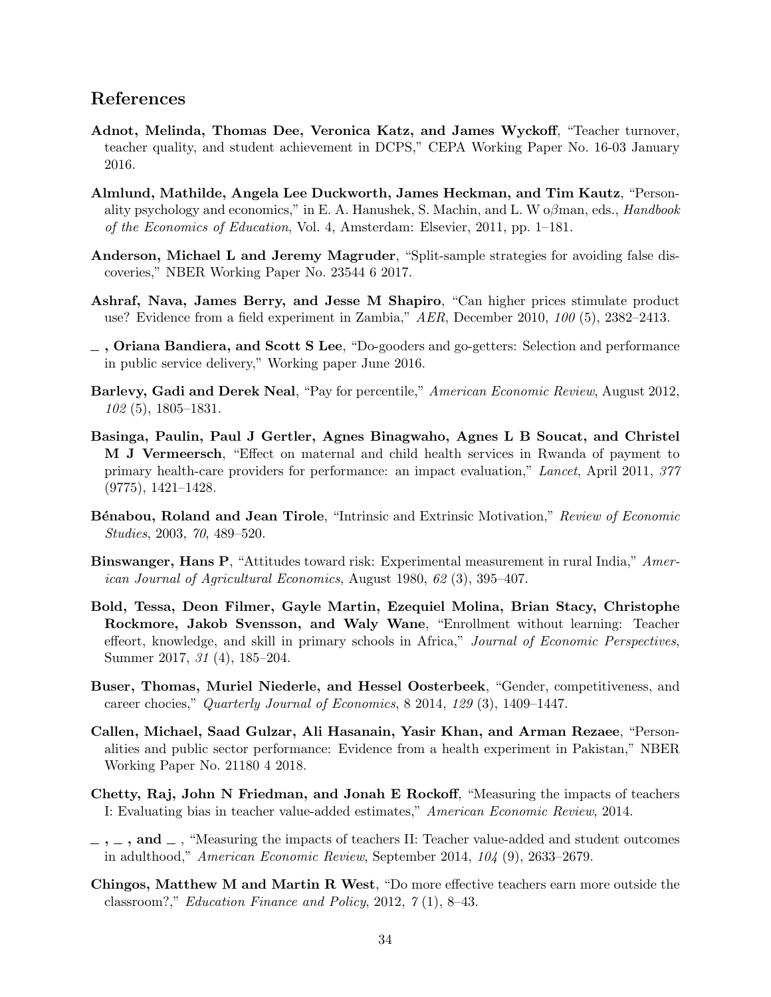## References

- Adnot, Melinda, Thomas Dee, Veronica Katz, and James Wyckoff, "Teacher turnover, teacher quality, and student achievement in DCPS," CEPA Working Paper No. 16-03 January 2016.
- Almlund, Mathilde, Angela Lee Duckworth, James Heckman, and Tim Kautz, "Personality psychology and economics," in E. A. Hanushek, S. Machin, and L. W  $\alpha\beta$ man, eds., Handbook of the Economics of Education, Vol. 4, Amsterdam: Elsevier, 2011, pp. 1–181.
- Anderson, Michael L and Jeremy Magruder, "Split-sample strategies for avoiding false discoveries," NBER Working Paper No. 23544 6 2017.
- Ashraf, Nava, James Berry, and Jesse M Shapiro, "Can higher prices stimulate product use? Evidence from a field experiment in Zambia," AER, December 2010, 100 (5), 2382-2413.
- $\overline{\phantom{a}}$ , Oriana Bandiera, and Scott S Lee, "Do-gooders and go-getters: Selection and performance in public service delivery," Working paper June 2016.
- Barlevy, Gadi and Derek Neal, "Pay for percentile," American Economic Review, August 2012, 102 (5), 1805–1831.
- Basinga, Paulin, Paul J Gertler, Agnes Binagwaho, Agnes L B Soucat, and Christel M J Vermeersch, "Effect on maternal and child health services in Rwanda of payment to primary health-care providers for performance: an impact evaluation," Lancet, April 2011, 377  $(9775), 1421 - 1428.$
- **B**énabou, Roland and Jean Tirole, "Intrinsic and Extrinsic Motivation," Review of Economic Studies, 2003, 70, 489–520.
- Binswanger, Hans P, "Attitudes toward risk: Experimental measurement in rural India," American Journal of Agricultural Economics, August 1980, 62 (3), 395–407.
- Bold, Tessa, Deon Filmer, Gayle Martin, Ezequiel Molina, Brian Stacy, Christophe Rockmore, Jakob Svensson, and Waly Wane, "Enrollment without learning: Teacher effeort, knowledge, and skill in primary schools in Africa," Journal of Economic Perspectives, Summer 2017, 31 (4), 185–204.
- Buser, Thomas, Muriel Niederle, and Hessel Oosterbeek, "Gender, competitiveness, and career chocies," Quarterly Journal of Economics, 8 2014, 129 (3), 1409–1447.
- Callen, Michael, Saad Gulzar, Ali Hasanain, Yasir Khan, and Arman Rezaee, "Personalities and public sector performance: Evidence from a health experiment in Pakistan," NBER Working Paper No. 21180 4 2018.
- Chetty, Raj, John N Friedman, and Jonah E Rockoff, "Measuring the impacts of teachers I: Evaluating bias in teacher value-added estimates," American Economic Review, 2014.
- $\ldots$ , and  $\ldots$ , "Measuring the impacts of teachers II: Teacher value-added and student outcomes in adulthood," American Economic Review, September 2014, 104 (9), 2633–2679.
- Chingos, Matthew M and Martin R West, "Do more effective teachers earn more outside the classroom?," Education Finance and Policy, 2012, 7 (1), 8–43.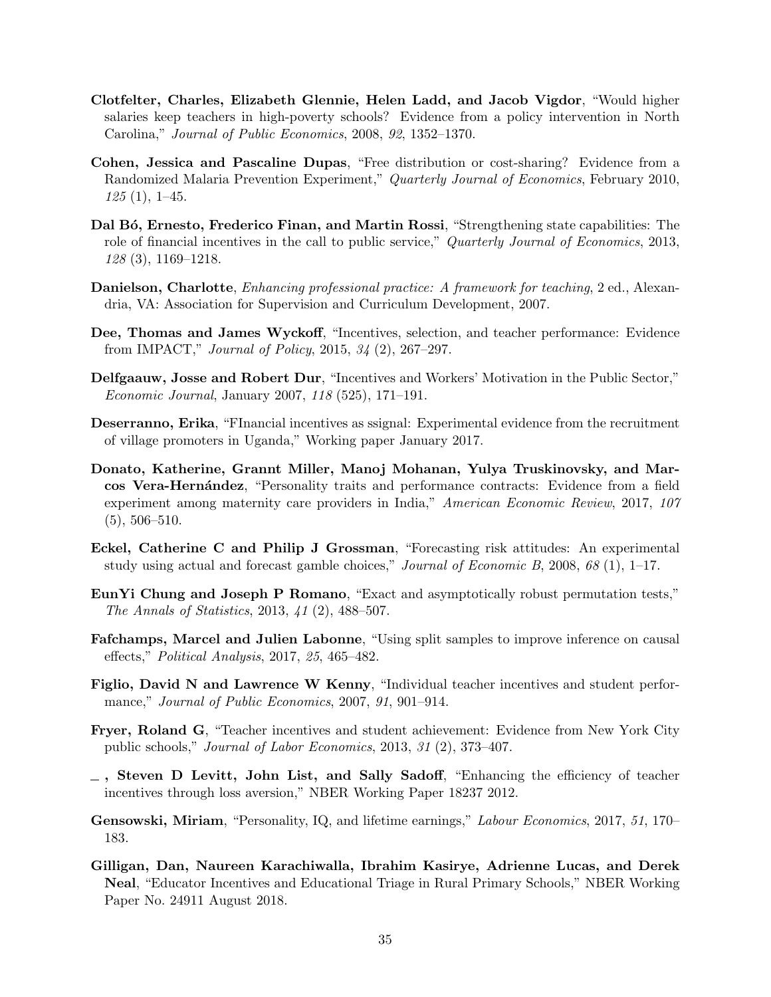- Clotfelter, Charles, Elizabeth Glennie, Helen Ladd, and Jacob Vigdor, "Would higher salaries keep teachers in high-poverty schools? Evidence from a policy intervention in North Carolina," Journal of Public Economics, 2008, 92, 1352–1370.
- Cohen, Jessica and Pascaline Dupas, "Free distribution or cost-sharing? Evidence from a Randomized Malaria Prevention Experiment," Quarterly Journal of Economics, February 2010,  $125(1), 1-45.$
- Dal Bó, Ernesto, Frederico Finan, and Martin Rossi, "Strengthening state capabilities: The role of financial incentives in the call to public service," Quarterly Journal of Economics, 2013, 128 (3), 1169–1218.
- Danielson, Charlotte, *Enhancing professional practice: A framework for teaching*, 2 ed., Alexandria, VA: Association for Supervision and Curriculum Development, 2007.
- Dee, Thomas and James Wyckoff, "Incentives, selection, and teacher performance: Evidence from IMPACT," Journal of Policy, 2015, 34 (2), 267–297.
- Delfgaauw, Josse and Robert Dur, "Incentives and Workers' Motivation in the Public Sector," Economic Journal, January 2007, 118 (525), 171–191.
- Deserranno, Erika, "FInancial incentives as ssignal: Experimental evidence from the recruitment of village promoters in Uganda," Working paper January 2017.
- Donato, Katherine, Grannt Miller, Manoj Mohanan, Yulya Truskinovsky, and Marcos Vera-Hernández, "Personality traits and performance contracts: Evidence from a field experiment among maternity care providers in India," American Economic Review, 2017, 107  $(5), 506-510.$
- Eckel, Catherine C and Philip J Grossman, "Forecasting risk attitudes: An experimental study using actual and forecast gamble choices," *Journal of Economic B*, 2008,  $68$  (1), 1–17.
- EunYi Chung and Joseph P Romano, "Exact and asymptotically robust permutation tests," The Annals of Statistics, 2013, 41 (2), 488–507.
- Fafchamps, Marcel and Julien Labonne, "Using split samples to improve inference on causal effects," Political Analysis, 2017, 25, 465–482.
- Figlio, David N and Lawrence W Kenny, "Individual teacher incentives and student performance," Journal of Public Economics, 2007, 91, 901–914.
- Fryer, Roland G, "Teacher incentives and student achievement: Evidence from New York City public schools," Journal of Labor Economics, 2013, 31 (2), 373–407.
- $\Box$ , Steven D Levitt, John List, and Sally Sadoff, "Enhancing the efficiency of teacher incentives through loss aversion," NBER Working Paper 18237 2012.
- Gensowski, Miriam, "Personality, IQ, and lifetime earnings," Labour Economics, 2017, 51, 170– 183.
- Gilligan, Dan, Naureen Karachiwalla, Ibrahim Kasirye, Adrienne Lucas, and Derek Neal, "Educator Incentives and Educational Triage in Rural Primary Schools," NBER Working Paper No. 24911 August 2018.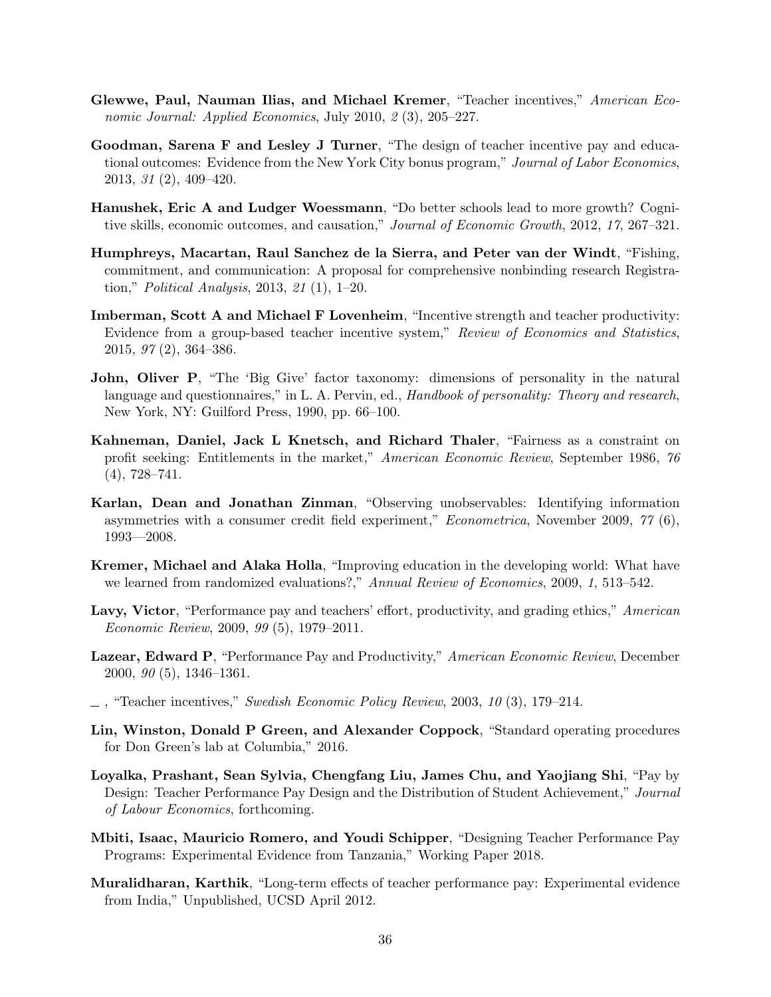- Glewwe, Paul, Nauman Ilias, and Michael Kremer, "Teacher incentives," American Economic Journal: Applied Economics, July 2010, 2 (3), 205–227.
- Goodman, Sarena F and Lesley J Turner, "The design of teacher incentive pay and educational outcomes: Evidence from the New York City bonus program," Journal of Labor Economics, 2013, 31 (2), 409–420.
- Hanushek, Eric A and Ludger Woessmann, "Do better schools lead to more growth? Cognitive skills, economic outcomes, and causation," Journal of Economic Growth, 2012, 17, 267–321.
- Humphreys, Macartan, Raul Sanchez de la Sierra, and Peter van der Windt, "Fishing, commitment, and communication: A proposal for comprehensive nonbinding research Registration," Political Analysis, 2013, 21 (1), 1–20.
- Imberman, Scott A and Michael F Lovenheim, "Incentive strength and teacher productivity: Evidence from a group-based teacher incentive system," Review of Economics and Statistics, 2015, 97 (2), 364–386.
- John, Oliver P, "The 'Big Give' factor taxonomy: dimensions of personality in the natural language and questionnaires," in L. A. Pervin, ed., Handbook of personality: Theory and research, New York, NY: Guilford Press, 1990, pp. 66–100.
- Kahneman, Daniel, Jack L Knetsch, and Richard Thaler, "Fairness as a constraint on profit seeking: Entitlements in the market," American Economic Review, September 1986, 76  $(4), 728 - 741.$
- Karlan, Dean and Jonathan Zinman, "Observing unobservables: Identifying information asymmetries with a consumer credit field experiment," Econometrica, November 2009, 77 (6), 1993—2008.
- Kremer, Michael and Alaka Holla, "Improving education in the developing world: What have we learned from randomized evaluations?," Annual Review of Economics, 2009, 1, 513–542.
- Lavy, Victor, "Performance pay and teachers' effort, productivity, and grading ethics," American Economic Review, 2009, 99 (5), 1979–2011.
- Lazear, Edward P, "Performance Pay and Productivity," American Economic Review, December 2000, 90 (5), 1346–1361.
- $\ldots$ , "Teacher incentives," Swedish Economic Policy Review, 2003, 10 (3), 179–214.
- Lin, Winston, Donald P Green, and Alexander Coppock, "Standard operating procedures for Don Green's lab at Columbia," 2016.
- Loyalka, Prashant, Sean Sylvia, Chengfang Liu, James Chu, and Yaojiang Shi, "Pay by Design: Teacher Performance Pay Design and the Distribution of Student Achievement," Journal of Labour Economics, forthcoming.
- Mbiti, Isaac, Mauricio Romero, and Youdi Schipper, "Designing Teacher Performance Pay Programs: Experimental Evidence from Tanzania," Working Paper 2018.
- Muralidharan, Karthik, "Long-term effects of teacher performance pay: Experimental evidence from India," Unpublished, UCSD April 2012.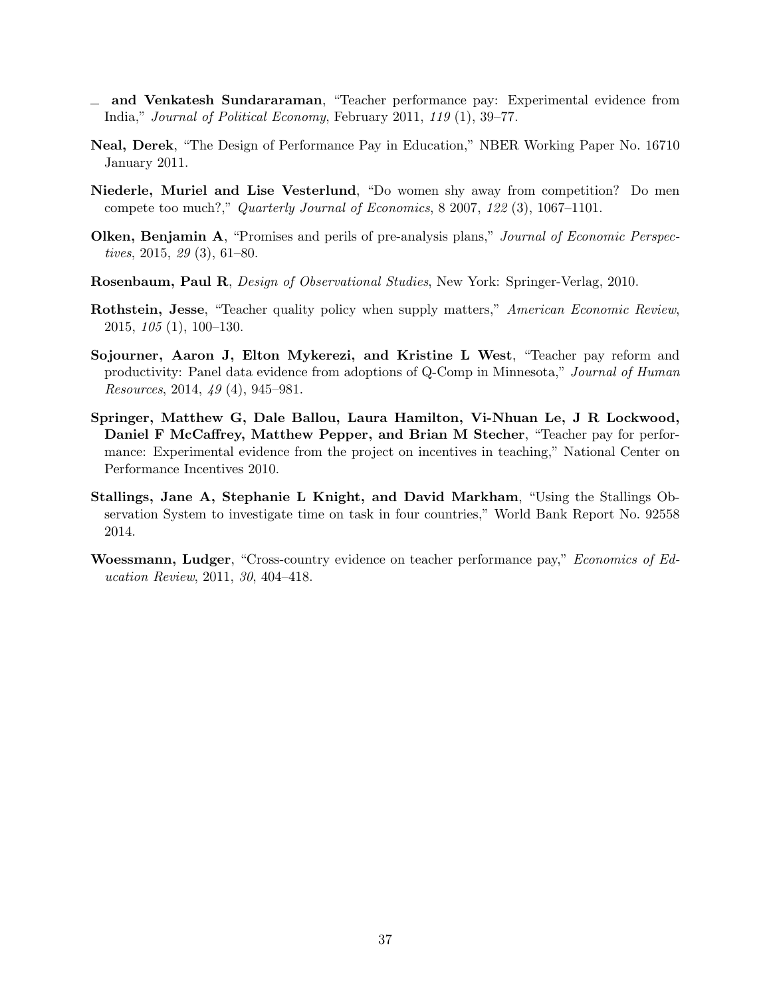- and Venkatesh Sundararaman, "Teacher performance pay: Experimental evidence from India," Journal of Political Economy, February 2011, 119 (1), 39–77.
- Neal, Derek, "The Design of Performance Pay in Education," NBER Working Paper No. 16710 January 2011.
- Niederle, Muriel and Lise Vesterlund, "Do women shy away from competition? Do men compete too much?," Quarterly Journal of Economics, 8 2007, 122 (3), 1067–1101.
- Olken, Benjamin A, "Promises and perils of pre-analysis plans," Journal of Economic Perspectives, 2015, 29 (3), 61–80.
- Rosenbaum, Paul R, Design of Observational Studies, New York: Springer-Verlag, 2010.
- Rothstein, Jesse, "Teacher quality policy when supply matters," American Economic Review, 2015, 105 (1), 100–130.
- Sojourner, Aaron J, Elton Mykerezi, and Kristine L West, "Teacher pay reform and productivity: Panel data evidence from adoptions of Q-Comp in Minnesota," Journal of Human Resources, 2014, 49 (4), 945–981.
- Springer, Matthew G, Dale Ballou, Laura Hamilton, Vi-Nhuan Le, J R Lockwood, Daniel F McCaffrey, Matthew Pepper, and Brian M Stecher, "Teacher pay for performance: Experimental evidence from the project on incentives in teaching," National Center on Performance Incentives 2010.
- Stallings, Jane A, Stephanie L Knight, and David Markham, "Using the Stallings Observation System to investigate time on task in four countries," World Bank Report No. 92558 2014.
- Woessmann, Ludger, "Cross-country evidence on teacher performance pay," Economics of Education Review, 2011, 30, 404–418.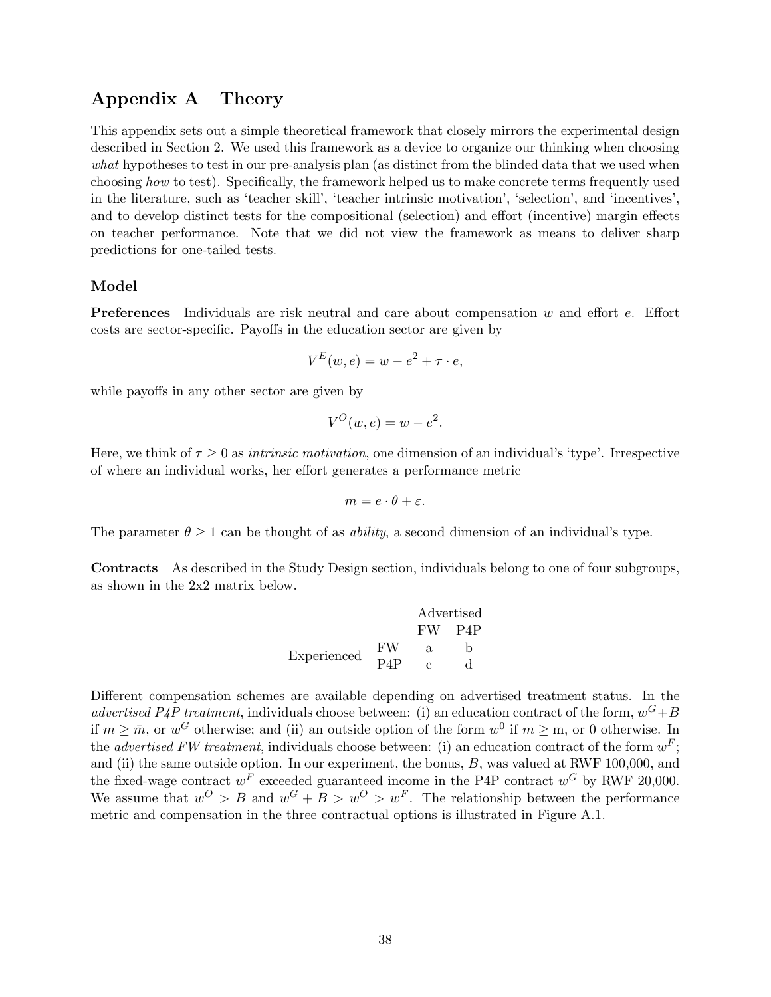## Appendix A Theory

This appendix sets out a simple theoretical framework that closely mirrors the experimental design described in Section 2. We used this framework as a device to organize our thinking when choosing what hypotheses to test in our pre-analysis plan (as distinct from the blinded data that we used when choosing how to test). Specifically, the framework helped us to make concrete terms frequently used in the literature, such as 'teacher skill', 'teacher intrinsic motivation', 'selection', and 'incentives', and to develop distinct tests for the compositional (selection) and effort (incentive) margin effects on teacher performance. Note that we did not view the framework as means to deliver sharp predictions for one-tailed tests.

#### Model

Preferences Individuals are risk neutral and care about compensation w and effort e. Effort costs are sector-specific. Payoffs in the education sector are given by

$$
V^{E}(w, e) = w - e^{2} + \tau \cdot e,
$$

while payoffs in any other sector are given by

$$
V^O(w, e) = w - e^2.
$$

Here, we think of  $\tau \geq 0$  as *intrinsic motivation*, one dimension of an individual's 'type'. Irrespective of where an individual works, her effort generates a performance metric

$$
m=e\cdot\theta+\varepsilon.
$$

The parameter  $\theta \geq 1$  can be thought of as *ability*, a second dimension of an individual's type.

Contracts As described in the Study Design section, individuals belong to one of four subgroups, as shown in the 2x2 matrix below.

$$
\begin{tabular}{c} Advertised \\ FW & P4P \\ Experienced & FW & a & b \\ P4P & c & d \end{tabular}
$$

Different compensation schemes are available depending on advertised treatment status. In the advertised P4P treatment, individuals choose between: (i) an education contract of the form,  $w^G + B$ if  $m \geq \bar{m}$ , or  $w^G$  otherwise; and (ii) an outside option of the form  $w^0$  if  $m \geq \underline{m}$ , or 0 otherwise. In the *advertised FW treatment*, individuals choose between: (i) an education contract of the form  $w^F$ ; and (ii) the same outside option. In our experiment, the bonus,  $B$ , was valued at RWF 100,000, and the fixed-wage contract  $w^F$  exceeded guaranteed income in the P4P contract  $w^G$  by RWF 20,000. We assume that  $w^O > B$  and  $w^G + B > w^O > w^F$ . The relationship between the performance metric and compensation in the three contractual options is illustrated in Figure A.1.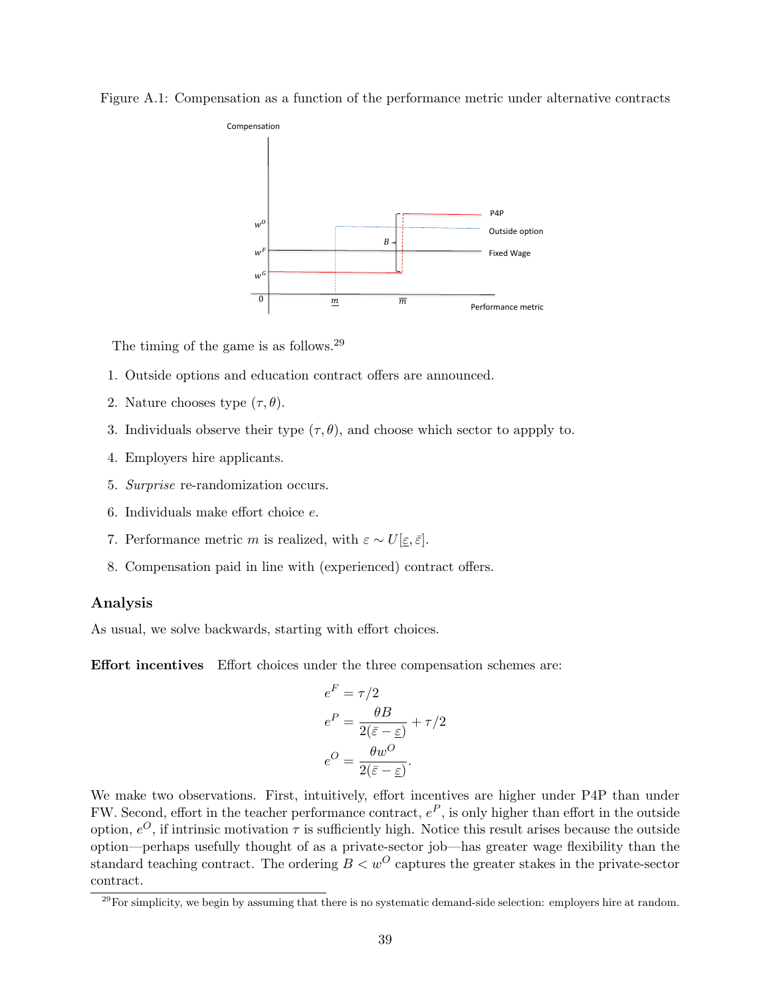



The timing of the game is as follows.<sup>29</sup>

- 1. Outside options and education contract offers are announced.
- 2. Nature chooses type  $(\tau, \theta)$ .
- 3. Individuals observe their type  $(\tau, \theta)$ , and choose which sector to appply to.
- 4. Employers hire applicants.
- 5. Surprise re-randomization occurs.
- 6. Individuals make effort choice e.
- 7. Performance metric m is realized, with  $\varepsilon \sim U[\underline{\varepsilon}, \overline{\varepsilon}]$ .
- 8. Compensation paid in line with (experienced) contract offers.

### Analysis

As usual, we solve backwards, starting with effort choices.

Effort incentives Effort choices under the three compensation schemes are:

$$
e^{F} = \tau/2
$$

$$
e^{P} = \frac{\theta B}{2(\bar{\varepsilon} - \underline{\varepsilon})} + \tau/2
$$

$$
e^{O} = \frac{\theta w^{O}}{2(\bar{\varepsilon} - \underline{\varepsilon})}.
$$

We make two observations. First, intuitively, effort incentives are higher under P4P than under FW. Second, effort in the teacher performance contract,  $e^P$ , is only higher than effort in the outside option,  $e^{O}$ , if intrinsic motivation  $\tau$  is sufficiently high. Notice this result arises because the outside option—perhaps usefully thought of as a private-sector job—has greater wage flexibility than the standard teaching contract. The ordering  $B < w^O$  captures the greater stakes in the private-sector contract.

 $^{29}$ For simplicity, we begin by assuming that there is no systematic demand-side selection: employers hire at random.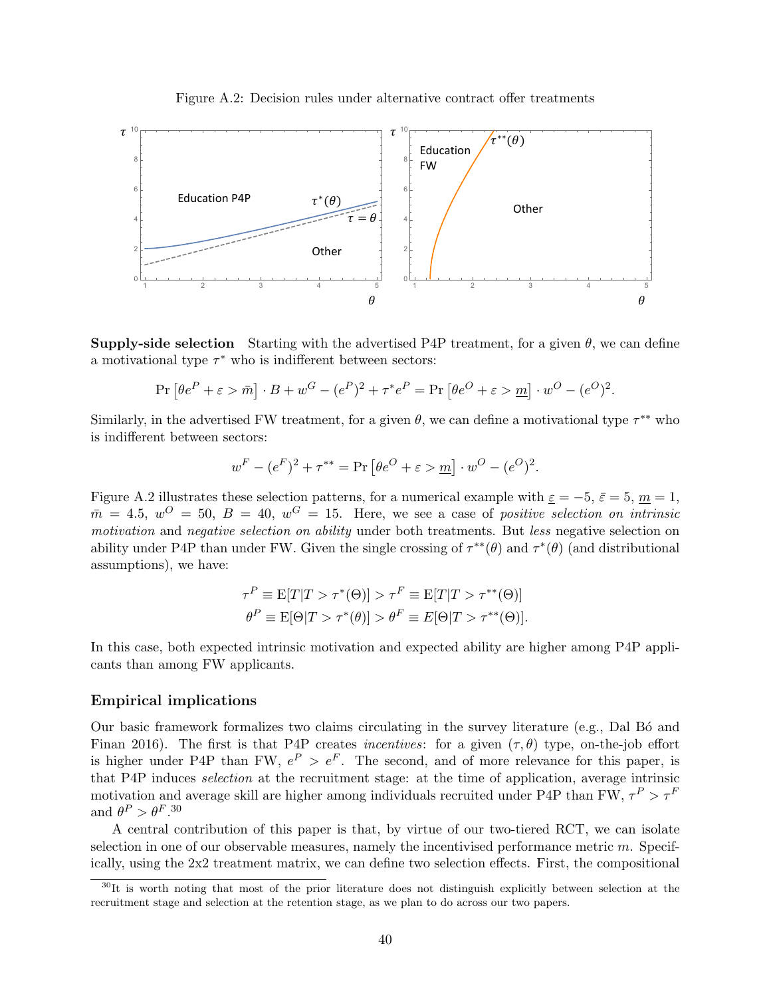



**Supply-side selection** Starting with the advertised P4P treatment, for a given  $\theta$ , we can define a motivational type  $\tau^*$  who is indifferent between sectors:

$$
\Pr\left[\theta e^{P} + \varepsilon > \bar{m}\right] \cdot B + w^{G} - (e^{P})^{2} + \tau^{*} e^{P} = \Pr\left[\theta e^{O} + \varepsilon > \underline{m}\right] \cdot w^{O} - (e^{O})^{2}.
$$

Similarly, in the advertised FW treatment, for a given  $\theta$ , we can define a motivational type  $\tau^{**}$  who is indifferent between sectors:

$$
w^F - (e^F)^2 + \tau^{**} = \Pr[\theta e^O + \varepsilon > m] \cdot w^O - (e^O)^2.
$$

Figure A.2 illustrates these selection patterns, for a numerical example with  $\varepsilon = -5$ ,  $\varepsilon = 5$ ,  $m = 1$ ,  $\bar{m} = 4.5, w^O = 50, B = 40, w^G = 15.$  Here, we see a case of positive selection on intrinsic motivation and negative selection on ability under both treatments. But less negative selection on ability under P4P than under FW. Given the single crossing of  $\tau^{**}(\theta)$  and  $\tau^{*}(\theta)$  (and distributional assumptions), we have:

$$
\tau^P \equiv \mathcal{E}[T|T > \tau^*(\Theta)] > \tau^F \equiv \mathcal{E}[T|T > \tau^{**}(\Theta)]
$$
\n
$$
\theta^P \equiv \mathcal{E}[\Theta|T > \tau^*(\theta)] > \theta^F \equiv E[\Theta|T > \tau^{**}(\Theta)].
$$

In this case, both expected intrinsic motivation and expected ability are higher among P4P applicants than among FW applicants.

#### Empirical implications

Our basic framework formalizes two claims circulating in the survey literature (e.g., Dal Bó and Finan 2016). The first is that P4P creates *incentives*: for a given  $(\tau, \theta)$  type, on-the-job effort is higher under P4P than FW,  $e^P > e^F$ . The second, and of more relevance for this paper, is that P4P induces selection at the recruitment stage: at the time of application, average intrinsic motivation and average skill are higher among individuals recruited under P4P than FW,  $\tau^P > \tau^F$ and  $\theta^P > \theta^F$ .<sup>30</sup>

A central contribution of this paper is that, by virtue of our two-tiered RCT, we can isolate selection in one of our observable measures, namely the incentivised performance metric  $m$ . Specifically, using the 2x2 treatment matrix, we can define two selection effects. First, the compositional

 $30$ It is worth noting that most of the prior literature does not distinguish explicitly between selection at the recruitment stage and selection at the retention stage, as we plan to do across our two papers.